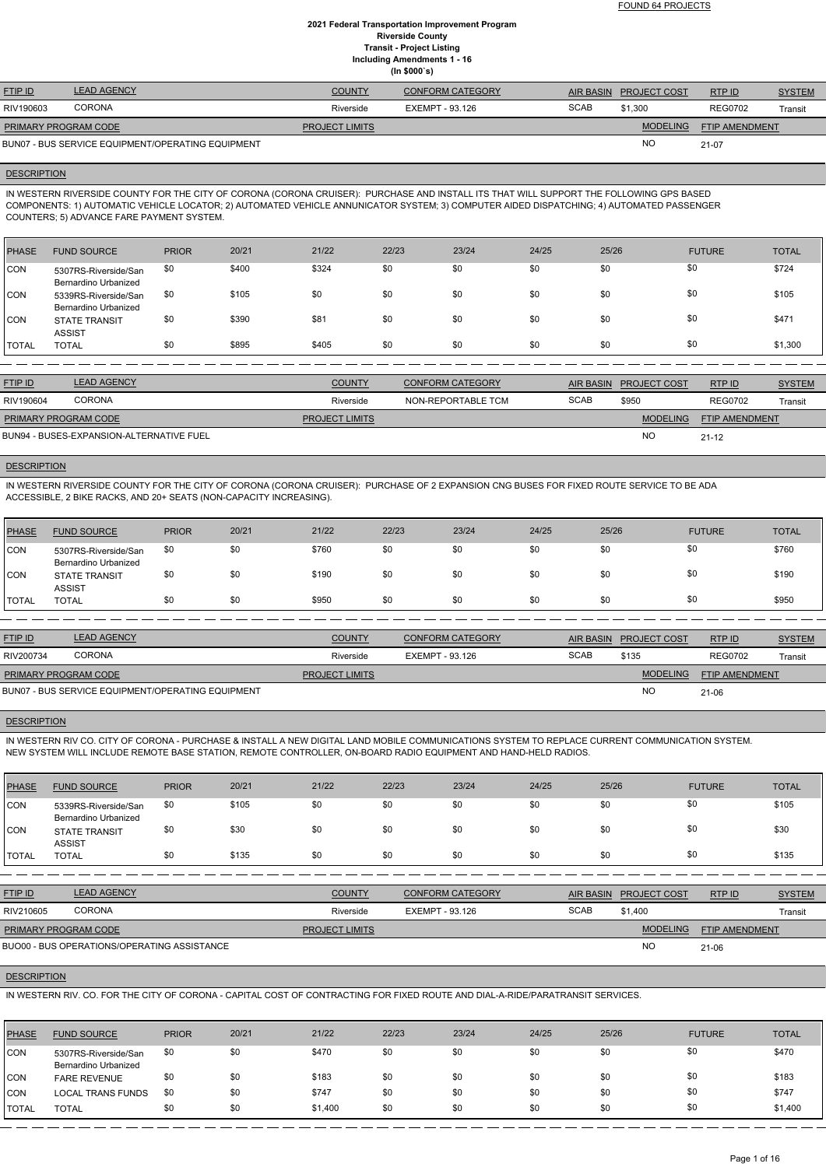FOUND 64 PROJECTS

### **2021 Federal Transportation Improvement Program Riverside County Transit - Project Listing Including Amendments 1 - 16 (In \$000`s)**

| <b>FTIP ID</b>                                    | <b>LEAD AGENCY</b> | <b>COUNTY</b>         | <b>CONFORM CATEGORY</b> | <b>AIR BASIN</b> | <b>PROJECT COST</b> | RTPID                 | <b>SYSTEM</b> |
|---------------------------------------------------|--------------------|-----------------------|-------------------------|------------------|---------------------|-----------------------|---------------|
| RIV190603                                         | <b>CORONA</b>      | Riverside             | EXEMPT - 93.126         | <b>SCAB</b>      | \$1,300             | <b>REG0702</b>        | Transit       |
| <b>PRIMARY PROGRAM CODE</b>                       |                    | <b>PROJECT LIMITS</b> |                         |                  | <b>MODELING</b>     | <b>FTIP AMENDMENT</b> |               |
| BUN07 - BUS SERVICE EQUIPMENT/OPERATING EQUIPMENT |                    |                       |                         |                  | NO.                 | 21-07                 |               |

#### **DESCRIPTION**

IN WESTERN RIVERSIDE COUNTY FOR THE CITY OF CORONA (CORONA CRUISER): PURCHASE AND INSTALL ITS THAT WILL SUPPORT THE FOLLOWING GPS BASED COMPONENTS: 1) AUTOMATIC VEHICLE LOCATOR; 2) AUTOMATED VEHICLE ANNUNICATOR SYSTEM; 3) COMPUTER AIDED DISPATCHING; 4) AUTOMATED PASSENGER COUNTERS; 5) ADVANCE FARE PAYMENT SYSTEM.

| PHASE        | <b>FUND SOURCE</b>                           | <b>PRIOR</b> | 20/21 | 21/22 | 22/23 | 23/24 | 24/25 | 25/26 | <b>FUTURE</b> | <b>TOTAL</b> |
|--------------|----------------------------------------------|--------------|-------|-------|-------|-------|-------|-------|---------------|--------------|
| <b>CON</b>   | 5307RS-Riverside/San<br>Bernardino Urbanized | \$0          | \$400 | \$324 | \$0   | \$0   | \$0   | \$0   | \$0           | \$724        |
| <b>CON</b>   | 5339RS-Riverside/San<br>Bernardino Urbanized | \$0          | \$105 | \$0   | \$0   | \$0   | \$0   | \$0   | \$0           | \$105        |
| ICON         | <b>STATE TRANSIT</b><br><b>ASSIST</b>        | \$0          | \$390 | \$81  | \$0   | \$0   | \$0   | \$0   | \$0           | \$471        |
| <b>TOTAL</b> | <b>TOTAL</b>                                 | \$0          | \$895 | \$405 | \$0   | \$0   | \$0   | \$0   | \$0           | \$1,300      |

| <b>FTIP ID</b>                           | <b>LEAD AGENCY</b> | <b>COUNTY</b>         | <b>CONFORM CATEGORY</b> |             | AIR BASIN PROJECT COST | RTP ID                | <b>SYSTEM</b> |
|------------------------------------------|--------------------|-----------------------|-------------------------|-------------|------------------------|-----------------------|---------------|
| RIV190604                                | <b>CORONA</b>      | Riverside             | NON-REPORTABLE TCM      | <b>SCAB</b> | \$950                  | <b>REG0702</b>        | Transit       |
| PRIMARY PROGRAM CODE                     |                    | <b>PROJECT LIMITS</b> |                         |             | <b>MODELING</b>        | <b>FTIP AMENDMENT</b> |               |
| BUN94 - BUSES-EXPANSION-ALTERNATIVE FUEL |                    |                       |                         |             | <b>NC</b>              | $21 - 12$             |               |

### **DESCRIPTION**

IN WESTERN RIVERSIDE COUNTY FOR THE CITY OF CORONA (CORONA CRUISER): PURCHASE OF 2 EXPANSION CNG BUSES FOR FIXED ROUTE SERVICE TO BE ADA ACCESSIBLE, 2 BIKE RACKS, AND 20+ SEATS (NON-CAPACITY INCREASING).

| <b>PHASE</b> | <b>FUND SOURCE</b>                           | <b>PRIOR</b> | 20/21 | 21/22 | 22/23 | 23/24 | 24/25 | 25/26 | <b>FUTURE</b> | <b>TOTAL</b> |
|--------------|----------------------------------------------|--------------|-------|-------|-------|-------|-------|-------|---------------|--------------|
| <b>CON</b>   | 5307RS-Riverside/San<br>Bernardino Urbanized | \$0          | \$0   | \$760 | \$0   | \$0   | \$0   | \$0   | \$0           | \$760        |
| <b>CON</b>   | <b>STATE TRANSIT</b><br><b>ASSIST</b>        | \$0          | \$0   | \$190 | \$0   | \$0   | \$0   | \$0   | \$0           | \$190        |
| <b>TOTAL</b> | <b>TOTAL</b>                                 | \$0          | \$0   | \$950 | \$0   | \$0   | \$0   | \$0   | \$0           | \$950        |

| <b>FTIP ID</b>                                    | <b>LEAD AGENCY</b> | <b>COUNTY</b>         | <b>CONFORM CATEGORY</b> |             | AIR BASIN PROJECT COST | <b>RTPID</b>          | <b>SYSTEM</b> |
|---------------------------------------------------|--------------------|-----------------------|-------------------------|-------------|------------------------|-----------------------|---------------|
| RIV200734                                         | <b>CORONA</b>      | Riverside             | EXEMPT - 93.126         | <b>SCAB</b> | \$135                  | <b>REG0702</b>        | Transit       |
| <b>PRIMARY PROGRAM CODE</b>                       |                    | <b>PROJECT LIMITS</b> |                         |             | <b>MODELING</b>        | <b>FTIP AMENDMENT</b> |               |
| BUN07 - BUS SERVICE EQUIPMENT/OPERATING EQUIPMENT |                    |                       |                         |             | <b>NC</b>              | $21 - 06$             |               |

#### **DESCRIPTION**

IN WESTERN RIV CO. CITY OF CORONA - PURCHASE & INSTALL A NEW DIGITAL LAND MOBILE COMMUNICATIONS SYSTEM TO REPLACE CURRENT COMMUNICATION SYSTEM. NEW SYSTEM WILL INCLUDE REMOTE BASE STATION, REMOTE CONTROLLER, ON-BOARD RADIO EQUIPMENT AND HAND-HELD RADIOS.

| <b>PHASE</b> | <b>FUND SOURCE</b>                                  | <b>PRIOR</b> | 20/21 | 21/22 | 22/23 | 23/24 | 24/25 | 25/26 | <b>FUTURE</b> | <b>TOTAL</b> |
|--------------|-----------------------------------------------------|--------------|-------|-------|-------|-------|-------|-------|---------------|--------------|
| <b>CON</b>   | 5339RS-Riverside/San<br><b>Bernardino Urbanized</b> | \$0          | \$105 | \$0   | \$0   | \$0   | \$0   | \$0   | \$0           | \$105        |
| <b>CON</b>   | <b>STATE TRANSIT</b><br><b>ASSIST</b>               | \$0          | \$30  | \$0   | \$0   | \$0   | \$0   | \$0   | \$0           | \$30         |
| <b>TOTAL</b> | <b>TOTAL</b>                                        | \$0          | \$135 | \$0   | \$0   | \$0   | \$0   | \$0   | \$0           | \$135        |

| <b>FTIP ID</b>       | <b>LEAD AGENCY</b>                          | <b>COUNTY</b>         | CONFORM CATEGORY |             | AIR BASIN PROJECT COST | RTPID                 | <b>SYSTEM</b> |
|----------------------|---------------------------------------------|-----------------------|------------------|-------------|------------------------|-----------------------|---------------|
| RIV210605            | <b>CORONA</b>                               | Riverside             | EXEMPT - 93.126  | <b>SCAB</b> | \$1.400                |                       | Transit       |
| PRIMARY PROGRAM CODE |                                             | <b>PROJECT LIMITS</b> |                  |             | <b>MODELING</b>        | <b>FTIP AMENDMENT</b> |               |
|                      | BUO00 - BUS OPERATIONS/OPERATING ASSISTANCE |                       |                  |             | <b>NC</b>              | $21 - 06$             |               |

#### **DESCRIPTION**

IN WESTERN RIV. CO. FOR THE CITY OF CORONA - CAPITAL COST OF CONTRACTING FOR FIXED ROUTE AND DIAL-A-RIDE/PARATRANSIT SERVICES.

| PHASE        | <b>FUND SOURCE</b>                           | <b>PRIOR</b> | 20/21 | 21/22   | 22/23 | 23/24 | 24/25 | 25/26 | <b>FUTURE</b> | <b>TOTAL</b> |
|--------------|----------------------------------------------|--------------|-------|---------|-------|-------|-------|-------|---------------|--------------|
| <b>CON</b>   | 5307RS-Riverside/San<br>Bernardino Urbanized | \$0          | \$0   | \$470   | \$0   | \$0   | \$0   | \$0   | \$0           | \$470        |
| <b>CON</b>   | <b>FARE REVENUE</b>                          | \$0          | \$0   | \$183   | \$0   | \$0   | \$0   | \$0   | \$0           | \$183        |
| CON          | <b>LOCAL TRANS FUNDS</b>                     | \$0          | \$0   | \$747   | \$0   | \$0   | \$0   | \$0   | \$0           | \$747        |
| <b>TOTAL</b> | <b>TOTAL</b>                                 | \$0          | \$0   | \$1,400 | \$0   | \$0   | \$0   | \$0   | \$0           | \$1,400      |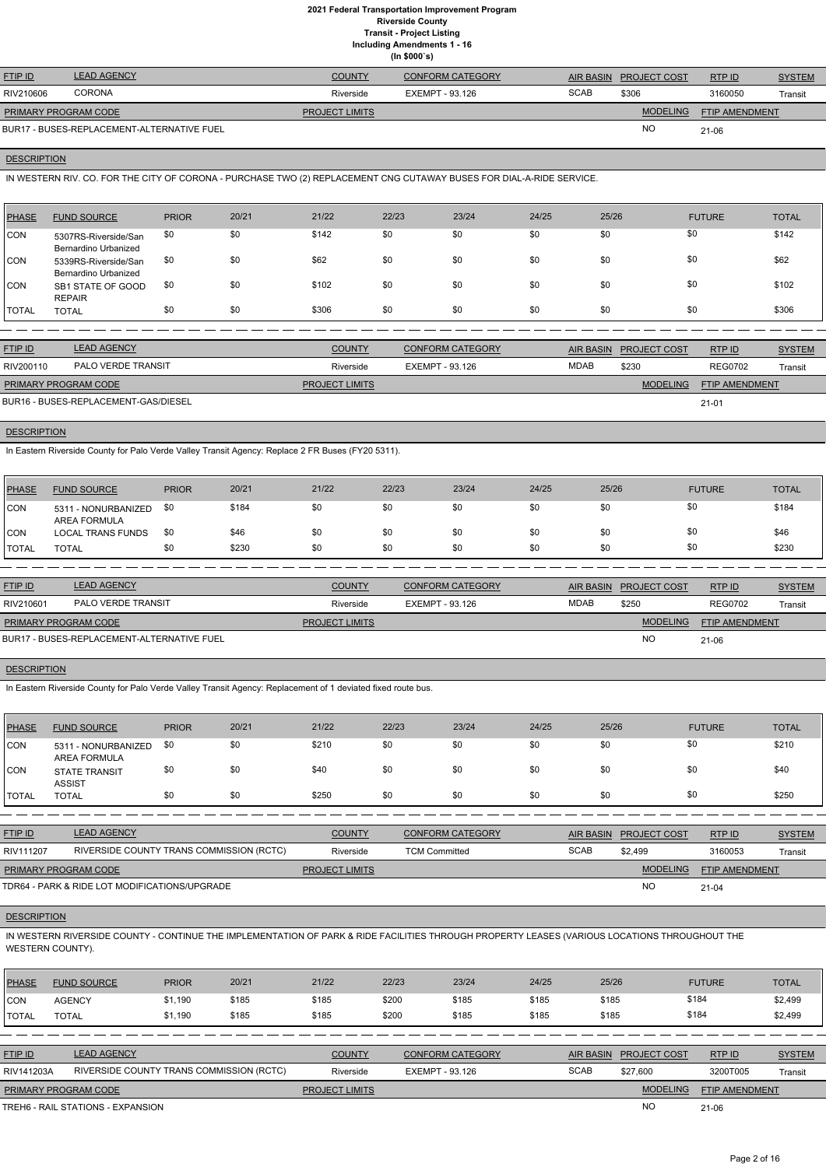**Including Amendments 1 - 16**

|  | uuniy Amenumenta |
|--|------------------|
|  | (ln \$000's)     |

| <b>FTIP ID</b>              | <b>LEAD AGENCY</b>                         | <b>COUNTY</b>         | <b>CONFORM CATEGORY</b> |             | AIR BASIN PROJECT COST | RTPID                 | <b>SYSTEM</b> |
|-----------------------------|--------------------------------------------|-----------------------|-------------------------|-------------|------------------------|-----------------------|---------------|
| RIV210606                   | <b>CORONA</b>                              | Riverside             | EXEMPT - 93.126         | <b>SCAB</b> | \$306                  | 3160050               | Transit       |
| <b>PRIMARY PROGRAM CODE</b> |                                            | <b>PROJECT LIMITS</b> |                         |             | <b>MODELING</b>        | <b>FTIP AMENDMENT</b> |               |
|                             | BUR17 - BUSES-REPLACEMENT-ALTERNATIVE FUEL |                       |                         |             | <b>NO</b>              | 21-06                 |               |

# **DESCRIPTION**

IN WESTERN RIV. CO. FOR THE CITY OF CORONA - PURCHASE TWO (2) REPLACEMENT CNG CUTAWAY BUSES FOR DIAL-A-RIDE SERVICE.

| <b>PHASE</b> | <b>FUND SOURCE</b>                           | <b>PRIOR</b> | 20/21 | 21/22 | 22/23 | 23/24 | 24/25 | 25/26 | <b>FUTURE</b> | <b>TOTAL</b> |
|--------------|----------------------------------------------|--------------|-------|-------|-------|-------|-------|-------|---------------|--------------|
| CON          | 5307RS-Riverside/San<br>Bernardino Urbanized | \$0          | \$0   | \$142 | \$0   | \$0   | \$0   | \$0   | \$0           | \$142        |
| <b>ICON</b>  | 5339RS-Riverside/San<br>Bernardino Urbanized | \$0          | \$0   | \$62  | \$0   | \$0   | \$0   | \$0   | \$0           | \$62         |
| <b>CON</b>   | SB1 STATE OF GOOD<br><b>REPAIR</b>           | \$0          | \$0   | \$102 | \$0   | \$0   | \$0   | \$0   | \$0           | \$102        |
| <b>TOTAL</b> | <b>TOTAL</b>                                 | \$0          | \$0   | \$306 | \$0   | \$0   | \$0   | \$0   | \$0           | \$306        |

| <b>FTIP ID</b>                       | <b>LEAD AGENCY</b> | <b>COUNTY</b>         | <b>CONFORM CATEGORY</b> |             | AIR BASIN PROJECT COST | RTP ID                | <b>SYSTEM</b> |
|--------------------------------------|--------------------|-----------------------|-------------------------|-------------|------------------------|-----------------------|---------------|
| RIV200110                            | PALO VERDE TRANSIT | Riverside             | EXEMPT - 93.126         | <b>MDAB</b> | \$230                  | <b>REG0702</b>        | Transit       |
| <b>PRIMARY PROGRAM CODE</b>          |                    | <b>PROJECT LIMITS</b> |                         |             | <b>MODELING</b>        | <b>FTIP AMENDMENT</b> |               |
| BUR16 - BUSES-REPLACEMENT-GAS/DIESEL |                    |                       |                         |             |                        | $21 - 01$             |               |

### **DESCRIPTION**

In Eastern Riverside County for Palo Verde Valley Transit Agency: Replace 2 FR Buses (FY20 5311).

| PHASE        | <b>FUND SOURCE</b>                  | <b>PRIOR</b> | 20/21 | 21/22 | 22/23 | 23/24 | 24/25 | 25/26 | <b>FUTURE</b> | TOTAL |
|--------------|-------------------------------------|--------------|-------|-------|-------|-------|-------|-------|---------------|-------|
| <b>CON</b>   | 5311 - NONURBANIZED<br>AREA FORMULA | \$0          | \$184 | \$0   | \$0   | \$0   | \$0   | \$0   | \$0           | \$184 |
| <b>CON</b>   | LOCAL TRANS FUNDS                   | \$0          | \$46  | \$0   | \$0   | \$0   | \$0   | \$0   | \$0           | \$46  |
| <b>TOTAL</b> | <b>TOTAL</b>                        | \$0          | \$230 | \$0   | \$0   | \$0   | \$0   | \$0   | \$0           | \$230 |

| <b>FTIP ID</b>       | <b>LEAD AGENCY</b>                         | <b>COUNTY</b>         | <b>CONFORM CATEGORY</b> |             | AIR BASIN PROJECT COST | RTPID                 | <b>SYSTEM</b> |
|----------------------|--------------------------------------------|-----------------------|-------------------------|-------------|------------------------|-----------------------|---------------|
| RIV210601            | <b>PALO VERDE TRANSIT</b>                  | Riverside             | EXEMPT - 93.126         | <b>MDAB</b> | \$250                  | <b>REG0702</b>        | Transit       |
| PRIMARY PROGRAM CODE |                                            | <b>PROJECT LIMITS</b> |                         |             | <b>MODELING</b>        | <b>FTIP AMENDMENT</b> |               |
|                      | BUR17 - BUSES-REPLACEMENT-ALTERNATIVE FUEL |                       |                         |             | <b>NC</b>              | 21-06                 |               |

### **DESCRIPTION**

In Eastern Riverside County for Palo Verde Valley Transit Agency: Replacement of 1 deviated fixed route bus.

| PHASE        | <b>FUND SOURCE</b>                    | <b>PRIOR</b> | 20/21 | 21/22 | 22/23 | 23/24 | 24/25 | 25/26 | <b>FUTURE</b> | <b>TOTAL</b> |
|--------------|---------------------------------------|--------------|-------|-------|-------|-------|-------|-------|---------------|--------------|
| <b>CON</b>   | 5311 - NONURBANIZED<br>AREA FORMULA   | \$0          | \$0   | \$210 | \$0   | \$0   | \$0   | \$0   | \$0           | \$210        |
| CON          | <b>STATE TRANSIT</b><br><b>ASSIST</b> | \$0          | \$0   | \$40  | \$0   | \$0   | \$0   | \$0   | \$0           | \$40         |
| <b>TOTAL</b> | TOTAL                                 | \$0          | \$0   | \$250 | \$0   | \$0   | \$0   | \$0   | \$0           | \$250        |

| <u>FTIP ID</u>              | <b>LEAD AGENCY</b>                       | <b>COUNTY</b>         | <b>CONFORM CATEGORY</b> |      | AIR BASIN PROJECT COST | RTP ID                | <u>SYSTEM</u> |
|-----------------------------|------------------------------------------|-----------------------|-------------------------|------|------------------------|-----------------------|---------------|
| RIV111207                   | RIVERSIDE COUNTY TRANS COMMISSION (RCTC) | Riverside             | <b>TCM Committed</b>    | SCAB | \$2,499                | 3160053               | Transit       |
| <b>PRIMARY PROGRAM CODE</b> |                                          | <b>PROJECT LIMITS</b> |                         |      | <b>MODELING</b>        | <b>FTIP AMENDMENT</b> |               |

NO

# **DESCRIPTION**

IN WESTERN RIVERSIDE COUNTY - CONTINUE THE IMPLEMENTATION OF PARK & RIDE FACILITIES THROUGH PROPERTY LEASES (VARIOUS LOCATIONS THROUGHOUT THE WESTERN COUNTY).

| PHASE          | <b>FUND SOURCE</b>                       | <b>PRIOR</b> | 20/21 | 21/22                 | 22/23 | 23/24                   | 24/25 | 25/26            |                     | <b>FUTURE</b>  | <b>TOTAL</b>  |
|----------------|------------------------------------------|--------------|-------|-----------------------|-------|-------------------------|-------|------------------|---------------------|----------------|---------------|
| ICON           | <b>AGENCY</b>                            | \$1,190      | \$185 | \$185                 | \$200 | \$185                   | \$185 | \$185            |                     | \$184          | \$2,499       |
| <b>TOTAL</b>   | <b>TOTAL</b>                             | \$1,190      | \$185 | \$185                 | \$200 | \$185                   | \$185 | \$185            |                     | \$184          | \$2,499       |
|                |                                          |              |       |                       |       |                         |       |                  |                     |                |               |
| <b>FTIP ID</b> | <b>LEAD AGENCY</b>                       |              |       | <b>COUNTY</b>         |       | <b>CONFORM CATEGORY</b> |       | <b>AIR BASIN</b> | <b>PROJECT COST</b> | RTP ID         | <b>SYSTEM</b> |
| RIV141203A     | RIVERSIDE COUNTY TRANS COMMISSION (RCTC) |              |       | Riverside             |       | EXEMPT - 93.126         |       | <b>SCAB</b>      | \$27.600            | 3200T005       | Transit       |
|                | PRIMARY PROGRAM CODE                     |              |       | <b>PROJECT LIMITS</b> |       |                         |       |                  | <b>MODELING</b>     | FTIP AMENDMENT |               |
|                | TREH6 - RAIL STATIONS - EXPANSION        |              |       |                       |       |                         |       |                  | <b>NO</b>           | $21 - 06$      |               |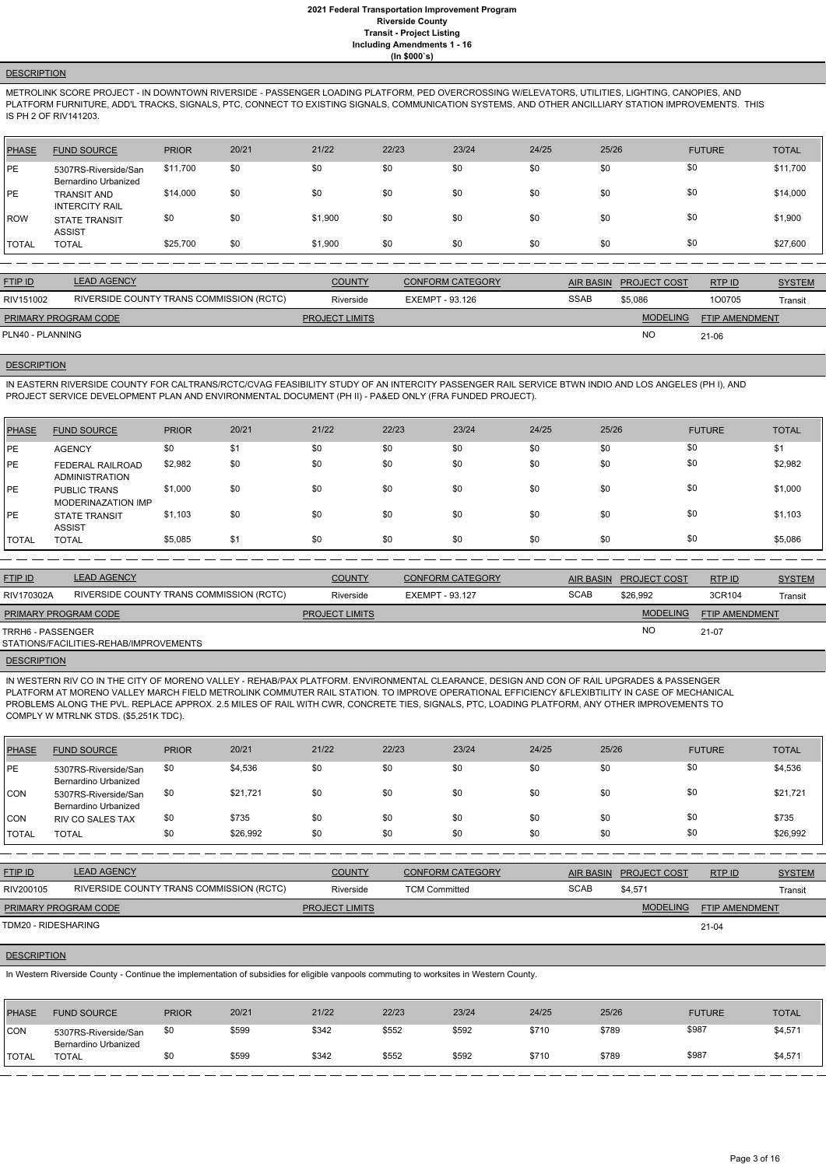# **DESCRIPTION**

METROLINK SCORE PROJECT - IN DOWNTOWN RIVERSIDE - PASSENGER LOADING PLATFORM, PED OVERCROSSING W/ELEVATORS, UTILITIES, LIGHTING, CANOPIES, AND PLATFORM FURNITURE, ADD'L TRACKS, SIGNALS, PTC, CONNECT TO EXISTING SIGNALS, COMMUNICATION SYSTEMS, AND OTHER ANCILLIARY STATION IMPROVEMENTS. THIS IS PH 2 OF RIV141203.

| PHASE   | <b>FUND SOURCE</b>                                  | <b>PRIOR</b> | 20/21 | 21/22   | 22/23 | 23/24 | 24/25 | 25/26 | <b>FUTURE</b> | <b>TOTAL</b> |
|---------|-----------------------------------------------------|--------------|-------|---------|-------|-------|-------|-------|---------------|--------------|
| PE      | 5307RS-Riverside/San<br><b>Bernardino Urbanized</b> | \$11,700     | \$0   | \$0     | \$0   | \$0   | \$0   | \$0   | \$0           | \$11,700     |
| PE      | <b>TRANSIT AND</b><br><b>INTERCITY RAIL</b>         | \$14,000     | \$0   | \$0     | \$0   | \$0   | \$0   | \$0   | \$0           | \$14,000     |
| l ROW   | <b>STATE TRANSIT</b><br><b>ASSIST</b>               | \$0          | \$0   | \$1,900 | \$0   | \$0   | \$0   | \$0   | \$0           | \$1,900      |
| I TOTAL | <b>TOTAL</b>                                        | \$25,700     | \$0   | \$1,900 | \$0   | \$0   | \$0   | \$0   | \$0           | \$27,600     |

| <b>FTIP ID</b>              | <b>LEAD AGENCY</b>                       | <b>COUNTY</b>         | <b>CONFORM CATEGORY</b> |             | AIR BASIN PROJECT COST | RTP ID                | <b>SYSTEM</b> |
|-----------------------------|------------------------------------------|-----------------------|-------------------------|-------------|------------------------|-----------------------|---------------|
| RIV151002                   | RIVERSIDE COUNTY TRANS COMMISSION (RCTC) | Riverside             | EXEMPT - 93.126         | <b>SSAB</b> | \$5,086                | 100705                | Transit       |
| <b>PRIMARY PROGRAM CODE</b> |                                          | <b>PROJECT LIMITS</b> |                         |             | <b>MODELING</b>        | <b>FTIP AMENDMENT</b> |               |
| PLN40 - PLANNING            |                                          |                       |                         |             | <b>NO</b>              | $21 - 06$             |               |

# **DESCRIPTION**

IN EASTERN RIVERSIDE COUNTY FOR CALTRANS/RCTC/CVAG FEASIBILITY STUDY OF AN INTERCITY PASSENGER RAIL SERVICE BTWN INDIO AND LOS ANGELES (PH I), AND PROJECT SERVICE DEVELOPMENT PLAN AND ENVIRONMENTAL DOCUMENT (PH II) - PA&ED ONLY (FRA FUNDED PROJECT).

| PHASE        | <b>FUND SOURCE</b>                        | <b>PRIOR</b> | 20/21 | 21/22 | 22/23 | 23/24 | 24/25 | 25/26 | <b>FUTURE</b> | <b>TOTAL</b> |
|--------------|-------------------------------------------|--------------|-------|-------|-------|-------|-------|-------|---------------|--------------|
| PE           | <b>AGENCY</b>                             | \$0          | \$1   | \$0   | \$0   | \$0   | \$0   | \$0   | \$0           | \$1          |
| <b>IPE</b>   | FEDERAL RAILROAD<br><b>ADMINISTRATION</b> | \$2,982      | \$0   | \$0   | \$0   | \$0   | \$0   | \$0   | \$0           | \$2,982      |
| <b>IPE</b>   | <b>PUBLIC TRANS</b><br>MODERINAZATION IMP | \$1,000      | \$0   | \$0   | \$0   | \$0   | \$0   | \$0   | \$0           | \$1,000      |
| <b>PE</b>    | <b>STATE TRANSIT</b><br><b>ASSIST</b>     | \$1,103      | \$0   | \$0   | \$0   | \$0   | \$0   | \$0   | \$0           | \$1,103      |
| <b>TOTAL</b> | <b>TOTAL</b>                              | \$5,085      | \$1   | \$0   | \$0   | \$0   | \$0   | \$0   | \$0           | \$5,086      |

| <b>FTIP ID</b>       | <b>LEAD AGENCY</b>                       | <b>COUNTY</b>         | <b>CONFORM CATEGORY</b> | AIR BASIN   | <b>PROJECT COST</b> | RTP ID                | <b>SYSTEM</b> |
|----------------------|------------------------------------------|-----------------------|-------------------------|-------------|---------------------|-----------------------|---------------|
| RIV170302A           | RIVERSIDE COUNTY TRANS COMMISSION (RCTC) | Riverside             | EXEMPT - 93.127         | <b>SCAB</b> | \$26.992            | 3CR104                | Transit       |
| PRIMARY PROGRAM CODE |                                          | <b>PROJECT LIMITS</b> |                         |             | <b>MODELING</b>     | <b>FTIP AMENDMENT</b> |               |
| TRRH6 - PASSENGER    | STATIONS/FACILITIES-REHAB/IMPROVEMENTS   |                       |                         |             | <b>NO</b>           | 21-07                 |               |
|                      |                                          |                       |                         |             |                     |                       |               |

# **DESCRIPTION**

IN WESTERN RIV CO IN THE CITY OF MORENO VALLEY - REHAB/PAX PLATFORM. ENVIRONMENTAL CLEARANCE, DESIGN AND CON OF RAIL UPGRADES & PASSENGER PLATFORM AT MORENO VALLEY MARCH FIELD METROLINK COMMUTER RAIL STATION. TO IMPROVE OPERATIONAL EFFICIENCY &FLEXIBTILITY IN CASE OF MECHANICAL PROBLEMS ALONG THE PVL. REPLACE APPROX. 2.5 MILES OF RAIL WITH CWR, CONCRETE TIES, SIGNALS, PTC, LOADING PLATFORM, ANY OTHER IMPROVEMENTS TO COMPLY W MTRLNK STDS. (\$5,251K TDC).

| PHASE      | <b>FUND SOURCE</b>                           | <b>PRIOR</b> | 20/21    | 21/22 | 22/23 | 23/24 | 24/25 | 25/26 | <b>FUTURE</b> | <b>TOTAL</b> |
|------------|----------------------------------------------|--------------|----------|-------|-------|-------|-------|-------|---------------|--------------|
| PE         | 5307RS-Riverside/San<br>Bernardino Urbanized | \$0          | \$4,536  | \$0   | \$0   | \$0   | \$0   | \$0   | \$0           | \$4,536      |
| <b>CON</b> | 5307RS-Riverside/San<br>Bernardino Urbanized | \$0          | \$21.721 | \$0   | \$0   | \$0   | \$0   | \$0   | \$0           | \$21,721     |
| CON        | <b>RIV CO SALES TAX</b>                      | \$0          | \$735    | \$0   | \$0   | \$0   | \$0   | \$0   | \$0           | \$735        |
| I TOTAL    | <b>TOTAL</b>                                 | \$0          | \$26,992 | \$0   | \$0   | \$0   | \$0   | \$0   | \$0           | \$26,992     |

RTP ID

| RIV200105            | RIVERSIDE COUNTY TRANS COMMISSION (RCTC) | Riverside             | <b>TCM Committed</b> | <b>SCAB</b> | \$4,571         | Transit               |
|----------------------|------------------------------------------|-----------------------|----------------------|-------------|-----------------|-----------------------|
| PRIMARY PROGRAM CODE |                                          | <b>PROJECT LIMITS</b> |                      |             | <b>MODELING</b> | <b>FTIP AMENDMENT</b> |
| TDM20 - RIDESHARING  |                                          |                       |                      |             |                 | $21 - 04$             |

#### **DESCRIPTION**

In Western Riverside County - Continue the implementation of subsidies for eligible vanpools commuting to worksites in Western County.

| <b>PHASE</b>  | <b>FUND SOURCE</b>                           | <b>PRIOR</b> | 20/21 | 21/22 | 22/23 | 23/24 | 24/25 | 25/26 | <b>FUTURE</b> | <b>TOTAL</b> |
|---------------|----------------------------------------------|--------------|-------|-------|-------|-------|-------|-------|---------------|--------------|
| <b>CON</b>    | 5307RS-Riverside/San<br>Bernardino Urbanized | \$0          | \$599 | \$342 | \$552 | \$592 | \$710 | \$789 | \$987         | \$4,571      |
| <b>ITOTAL</b> | <b>TOTAL</b>                                 | \$0          | \$599 | \$342 | \$552 | \$592 | \$710 | \$789 | \$987         | \$4,571      |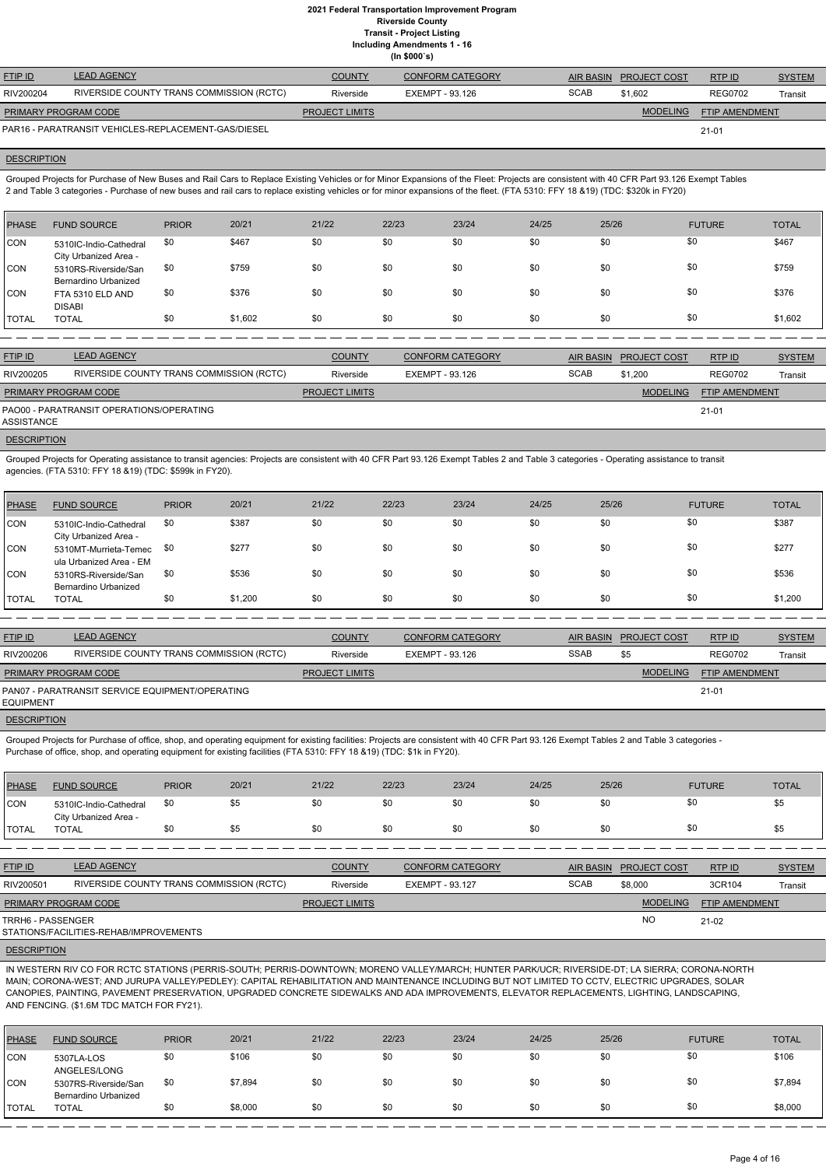**Including Amendments 1 - 16**

**(In \$000`s)**

|                      |                                                     |                       | , ,                     |             |                        |                |               |
|----------------------|-----------------------------------------------------|-----------------------|-------------------------|-------------|------------------------|----------------|---------------|
| <b>FTIP ID</b>       | <b>LEAD AGENCY</b>                                  | <b>COUNTY</b>         | <b>CONFORM CATEGORY</b> |             | AIR BASIN PROJECT COST | RTPID          | <b>SYSTEM</b> |
| RIV200204            | RIVERSIDE COUNTY TRANS COMMISSION (RCTC)            | Riverside             | EXEMPT - 93.126         | <b>SCAB</b> | \$1.602                | <b>REG0702</b> | Transit       |
| PRIMARY PROGRAM CODE |                                                     | <b>PROJECT LIMITS</b> |                         |             | <b>MODELING</b>        | FTIP AMENDMENT |               |
|                      | PAR16 - PARATRANSIT VEHICLES-REPLACEMENT-GAS/DIESEL |                       |                         |             |                        | $21 - 01$      |               |

#### **DESCRIPTION**

Grouped Projects for Purchase of New Buses and Rail Cars to Replace Existing Vehicles or for Minor Expansions of the Fleet: Projects are consistent with 40 CFR Part 93.126 Exempt Tables 2 and Table 3 categories - Purchase of new buses and rail cars to replace existing vehicles or for minor expansions of the fleet. (FTA 5310: FFY 18 &19) (TDC: \$320k in FY20)

| PHASE        | <b>FUND SOURCE</b>                              | <b>PRIOR</b> | 20/21   | 21/22 | 22/23 | 23/24 | 24/25 | 25/26 | <b>FUTURE</b> | <b>TOTAL</b> |
|--------------|-------------------------------------------------|--------------|---------|-------|-------|-------|-------|-------|---------------|--------------|
| CON          | 5310IC-Indio-Cathedral<br>City Urbanized Area - | \$0          | \$467   | \$0   | \$0   | \$0   | \$0   | \$0   | \$0           | \$467        |
| CON          | 5310RS-Riverside/San<br>Bernardino Urbanized    | \$0          | \$759   | \$0   | \$0   | \$0   | \$0   | \$0   | \$0           | \$759        |
| <b>CON</b>   | FTA 5310 ELD AND<br><b>DISABI</b>               | \$0          | \$376   | \$0   | \$0   | \$0   | \$0   | \$0   | \$0           | \$376        |
| <b>TOTAL</b> | <b>TOTAL</b>                                    | \$0          | \$1,602 | \$0   | \$0   | \$0   | \$0   | \$0   | \$0           | \$1,602      |

Grouped Projects for Purchase of office, shop, and operating equipment for existing facilities: Projects are consistent with 40 CFR Part 93.126 Exempt Tables 2 and Table 3 categories - Purchase of office, shop, and operating equipment for existing facilities (FTA 5310: FFY 18 &19) (TDC: \$1k in FY20).

| <b>FTIP ID</b>              | <b>LEAD AGENCY</b>                       | <b>COUNTY</b>         | <b>CONFORM CATEGORY</b> | AIR BASIN   | <b>PROJECT COST</b> | RTP ID                | <b>SYSTEM</b> |
|-----------------------------|------------------------------------------|-----------------------|-------------------------|-------------|---------------------|-----------------------|---------------|
| RIV200205                   | RIVERSIDE COUNTY TRANS COMMISSION (RCTC) | Riverside             | EXEMPT - 93.126         | <b>SCAB</b> | \$1,200             | <b>REG0702</b>        | Transit       |
| <b>PRIMARY PROGRAM CODE</b> |                                          | <b>PROJECT LIMITS</b> |                         |             | <b>MODELING</b>     | <b>FTIP AMENDMENT</b> |               |
| ASSISTANCE                  | PAO00 - PARATRANSIT OPERATIONS/OPERATING |                       |                         |             |                     | $21 - 01$             |               |

#### **DESCRIPTION**

Grouped Projects for Operating assistance to transit agencies: Projects are consistent with 40 CFR Part 93.126 Exempt Tables 2 and Table 3 categories - Operating assistance to transit agencies. (FTA 5310: FFY 18 &19) (TDC: \$599k in FY20).

| <b>PHASE</b> | <b>FUND SOURCE</b>                               | <b>PRIOR</b> | 20/21   | 21/22 | 22/23 | 23/24 | 24/25 | 25/26 | <b>FUTURE</b> | <b>TOTAL</b> |
|--------------|--------------------------------------------------|--------------|---------|-------|-------|-------|-------|-------|---------------|--------------|
| <b>CON</b>   | 5310IC-Indio-Cathedral<br>City Urbanized Area -  | \$0          | \$387   | \$0   | \$0   | \$0   | \$0   | \$0   | \$0           | \$387        |
| <b>CON</b>   | 5310MT-Murrieta-Temec<br>ula Urbanized Area - EM | \$0          | \$277   | \$0   | \$0   | \$0   | \$0   | \$0   | \$0           | \$277        |
| <b>CON</b>   | 5310RS-Riverside/San<br>Bernardino Urbanized     | \$0          | \$536   | \$0   | \$0   | \$0   | \$0   | \$0   | \$0           | \$536        |
| <b>TOTAL</b> | <b>TOTAL</b>                                     | \$0          | \$1,200 | \$0   | \$0   | \$0   | \$0   | \$0   | \$0           | \$1,200      |
|              |                                                  |              |         |       |       |       |       |       |               |              |

| <b>FTIP ID</b>       | <b>LEAD AGENCY</b>                              | <b>COUNTY</b>         | <b>CONFORM CATEGORY</b> |             | AIR BASIN PROJECT COST | RTPID                 | <b>SYSTEM</b> |
|----------------------|-------------------------------------------------|-----------------------|-------------------------|-------------|------------------------|-----------------------|---------------|
| RIV200206            | RIVERSIDE COUNTY TRANS COMMISSION (RCTC)        | Riverside             | EXEMPT - 93.126         | <b>SSAB</b> |                        | <b>REG0702</b>        | Transit       |
| PRIMARY PROGRAM CODE |                                                 | <b>PROJECT LIMITS</b> |                         |             | <b>MODELING</b>        | <b>FTIP AMENDMENT</b> |               |
| EQUIPMENT            | PAN07 - PARATRANSIT SERVICE EQUIPMENT/OPERATING |                       |                         |             |                        | 21-01                 |               |

# **DESCRIPTION**

| PHASE          | <b>FUND SOURCE</b>                              | <b>PRIOR</b> | 20/21 | 21/22 | 22/23 | 23/24 | 24/25 | 25/26 | <b>FUTURE</b> | <b>TOTAL</b> |
|----------------|-------------------------------------------------|--------------|-------|-------|-------|-------|-------|-------|---------------|--------------|
| <b>CON</b>     | 5310IC-Indio-Cathedral<br>City Urbanized Area - | \$0          | ১১    | \$0   |       | \$0   | \$0   | \$0   | -\$0          |              |
| <b>I</b> TOTAL | <b>TOTAL</b>                                    |              | \$5   | \$0   |       | \$0   | \$0   | \$0   | -\$0          |              |

| <b>FTIP ID</b> | <b>AGENCY</b><br>$\mathsf{L}\Lambda\mathsf{D}\Lambda\Lambda$ | <b>COUNT)</b> | <b>ORM CATEGORY</b><br>CONF | <b>AIR BASIN</b> | <b>PROJECT COST</b> | <b>RTPID</b> | $\bigcap \bigcup \bigcap \mathsf{T} \cap \mathsf{A}$<br><b>DIEM</b> |
|----------------|--------------------------------------------------------------|---------------|-----------------------------|------------------|---------------------|--------------|---------------------------------------------------------------------|
| P <sub>1</sub> | <b>DIVEDOINE COUNTY TRANS COMMIQOION (BOTO)</b>              | ÷.            | T1/T117T 00110T             | 0000             | $\sim$ $\sim$       | $\cdots$     |                                                                     |

| RIV200501            | RIVERSIDE COUNTY TRANS COMMISSION (RCTC) | Riverside             | EXEMPT - 93.127 | <b>SCAB</b> | \$8,000         | 3CR104                | Transit |
|----------------------|------------------------------------------|-----------------------|-----------------|-------------|-----------------|-----------------------|---------|
| PRIMARY PROGRAM CODE |                                          | <b>PROJECT LIMITS</b> |                 |             | <b>MODELING</b> | <b>FTIP AMENDMENT</b> |         |
| TRRH6 - PASSENGER    |                                          |                       |                 |             | NC              | $21-02$               |         |
|                      | STATIONS/FACILITIES-REHAB/IMPROVEMENTS   |                       |                 |             |                 |                       |         |

#### **DESCRIPTION**

IN WESTERN RIV CO FOR RCTC STATIONS (PERRIS-SOUTH; PERRIS-DOWNTOWN; MORENO VALLEY/MARCH; HUNTER PARK/UCR; RIVERSIDE-DT; LA SIERRA; CORONA-NORTH MAIN; CORONA-WEST; AND JURUPA VALLEY/PEDLEY): CAPITAL REHABILITATION AND MAINTENANCE INCLUDING BUT NOT LIMITED TO CCTV, ELECTRIC UPGRADES, SOLAR CANOPIES, PAINTING, PAVEMENT PRESERVATION, UPGRADED CONCRETE SIDEWALKS AND ADA IMPROVEMENTS, ELEVATOR REPLACEMENTS, LIGHTING, LANDSCAPING, AND FENCING. (\$1.6M TDC MATCH FOR FY21).

| PHASE         | <b>FUND SOURCE</b>                           | <b>PRIOR</b> | 20/21   | 21/22 | 22/23 | 23/24 | 24/25 | 25/26 | <b>FUTURE</b> | <b>TOTAL</b> |
|---------------|----------------------------------------------|--------------|---------|-------|-------|-------|-------|-------|---------------|--------------|
| CON           | 5307LA-LOS<br>ANGELES/LONG                   | \$0          | \$106   | \$0   | \$0   | \$0   | \$0   | \$0   | \$0           | \$106        |
| CON           | 5307RS-Riverside/San<br>Bernardino Urbanized | \$0          | \$7,894 | \$0   | \$0   | \$0   | \$0   | \$0   | \$0           | \$7,894      |
| <b>ITOTAL</b> | <b>TOTAL</b>                                 | \$0          | \$8,000 | \$0   | \$0   | \$0   | \$0   | \$0   | \$0           | \$8,000      |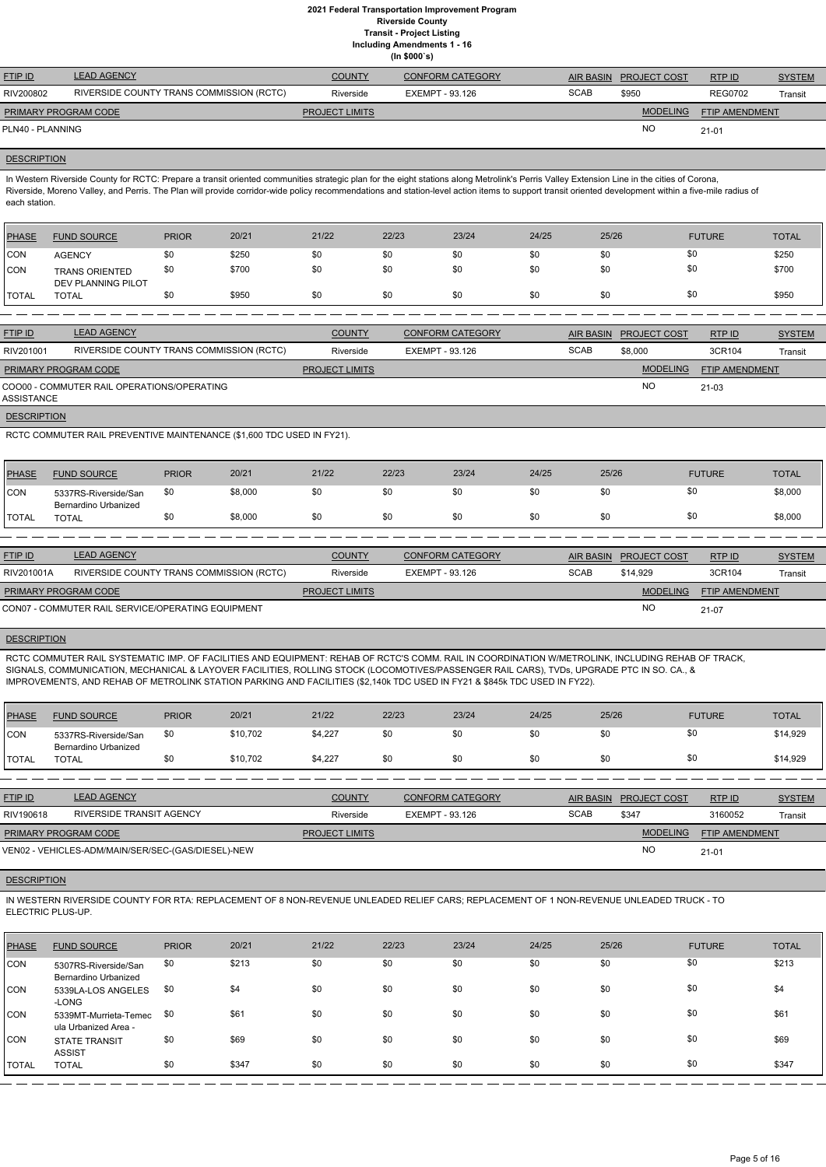# **2021 Federal Transportation Improvement Program Riverside County**

**Transit - Project Listing**

**Including Amendments 1 - 16 (In \$000`s)**

| <b>FTIP ID</b>              | <b>LEAD AGENCY</b>                       | <b>COUNTY</b>         | <b>CONFORM CATEGORY</b> | <b>AIR BASIN</b> | <b>PROJECT COST</b> | RTP ID         | <b>SYSTEM</b> |
|-----------------------------|------------------------------------------|-----------------------|-------------------------|------------------|---------------------|----------------|---------------|
| RIV200802                   | RIVERSIDE COUNTY TRANS COMMISSION (RCTC) | Riverside             | EXEMPT - 93.126         | <b>SCAB</b>      | \$950               | <b>REG0702</b> | Transit       |
| <b>PRIMARY PROGRAM CODE</b> |                                          | <b>PROJECT LIMITS</b> |                         |                  | <b>MODELING</b>     | FTIP AMENDMENT |               |
| PLN40 - PLANNING            |                                          |                       |                         |                  | NO                  | $21 - 01$      |               |
|                             |                                          |                       |                         |                  |                     |                |               |

#### **DESCRIPTION**

In Western Riverside County for RCTC: Prepare a transit oriented communities strategic plan for the eight stations along Metrolink's Perris Valley Extension Line in the cities of Corona, Riverside, Moreno Valley, and Perris. The Plan will provide corridor-wide policy recommendations and station-level action items to support transit oriented development within a five-mile radius of each station.

| <b>PHASE</b> | <b>FUND SOURCE</b>                          | <b>PRIOR</b> | 20/21 | 21/22 | 22/23 | 23/24 | 24/25 | 25/26 | <b>FUTURE</b> | <b>TOTAL</b> |
|--------------|---------------------------------------------|--------------|-------|-------|-------|-------|-------|-------|---------------|--------------|
| CON          | <b>AGENCY</b>                               | \$0          | \$250 | \$0   | \$0   | \$0   | \$0   | \$0   | \$0           | \$250        |
| CON          | <b>TRANS ORIENTED</b><br>DEV PLANNING PILOT | \$0          | \$700 | \$0   | \$0   | \$0   | \$0   | \$0   | \$0           | \$700        |
| 'TOTAL       | <b>TOTAL</b>                                | \$0          | \$950 | \$0   | \$0   | \$0   | \$0   | \$0   | \$0           | \$950        |

| <b>FTIP ID</b>              | <b>LEAD AGENCY</b>                         | <b>COUNTY</b>         | <b>CONFORM CATEGORY</b> | <b>AIR BASIN</b> | <b>PROJECT COST</b> | RTPID                 | <b>SYSTEM</b> |
|-----------------------------|--------------------------------------------|-----------------------|-------------------------|------------------|---------------------|-----------------------|---------------|
| RIV201001                   | RIVERSIDE COUNTY TRANS COMMISSION (RCTC)   | Riverside             | EXEMPT - 93.126         | <b>SCAB</b>      | \$8,000             | 3CR104                | Transit       |
| <b>PRIMARY PROGRAM CODE</b> |                                            | <b>PROJECT LIMITS</b> |                         |                  | <b>MODELING</b>     | <b>FTIP AMENDMENT</b> |               |
| ASSISTANCE                  | COO00 - COMMUTER RAIL OPERATIONS/OPERATING |                       |                         |                  | <b>NO</b>           | 21-03                 |               |
| <b>DESCRIPTION</b>          |                                            |                       |                         |                  |                     |                       |               |

RCTC COMMUTER RAIL PREVENTIVE MAINTENANCE (\$1,600 TDC USED IN FY21).

| <b>PHASE</b>  | <b>FUND SOURCE</b>                           | <b>PRIOR</b> | 20/21   | 21/22 | 22/23 | 23/24 | 24/25 | 25/26 | <b>FUTURE</b> | <b>TOTAL</b> |
|---------------|----------------------------------------------|--------------|---------|-------|-------|-------|-------|-------|---------------|--------------|
| CON           | 5337RS-Riverside/San<br>Bernardino Urbanized | \$0          | \$8,000 | ১৫    |       | \$0   | \$0   | \$0   |               | \$8,000      |
| <b>ITOTAL</b> | TOTAL                                        | \$0          | \$8,000 | \$0   |       | \$0   | \$0   | \$0   |               | \$8,000      |

| <b>FTIP ID</b>              | <b>LEAD AGENCY</b>                                | <b>COUNTY</b>         | <b>CONFORM CATEGORY</b> | AIR BASIN   | <b>PROJECT COST</b> | RTP ID                | <b>SYSTEM</b> |
|-----------------------------|---------------------------------------------------|-----------------------|-------------------------|-------------|---------------------|-----------------------|---------------|
| RIV201001A                  | RIVERSIDE COUNTY TRANS COMMISSION (RCTC)          | Riverside             | EXEMPT - 93.126         | <b>SCAB</b> | \$14,929            | 3CR104                | Transit       |
| <b>PRIMARY PROGRAM CODE</b> |                                                   | <b>PROJECT LIMITS</b> |                         |             | <b>MODELING</b>     | <b>FTIP AMENDMENT</b> |               |
|                             | CON07 - COMMUTER RAIL SERVICE/OPERATING EQUIPMENT |                       |                         |             | <b>NC</b>           | 21-07                 |               |

# **DESCRIPTION**

RCTC COMMUTER RAIL SYSTEMATIC IMP. OF FACILITIES AND EQUIPMENT: REHAB OF RCTC'S COMM. RAIL IN COORDINATION W/METROLINK, INCLUDING REHAB OF TRACK, SIGNALS, COMMUNICATION, MECHANICAL & LAYOVER FACILITIES, ROLLING STOCK (LOCOMOTIVES/PASSENGER RAIL CARS), TVDs, UPGRADE PTC IN SO. CA., & IMPROVEMENTS, AND REHAB OF METROLINK STATION PARKING AND FACILITIES (\$2,140k TDC USED IN FY21 & \$845k TDC USED IN FY22).

| <b>PHASE</b> | <b>FUND SOURCE</b>                           | <b>PRIOR</b> | 20/21    | 21/22   | 22/23 | 23/24 | 24/25 | 25/26 | <b>FUTURE</b> | <b>TOTAL</b> |
|--------------|----------------------------------------------|--------------|----------|---------|-------|-------|-------|-------|---------------|--------------|
| CON          | 5337RS-Riverside/San<br>Bernardino Urbanized | \$0          | \$10,702 | \$4,227 | \$0   | \$0   | \$0   | \$0   |               | \$14,929     |
| TOTAL        | <b>TOTAL</b>                                 | \$0          | \$10,702 | \$4,227 | \$0   | \$0   | \$0   | \$0   | Ψ             | \$14,929     |

| <b>FTIP ID</b>       | <b>LEAD AGENCY</b>                                 | <b>COUNTY</b>         | <b>CONFORM CATEGORY</b> |             | AIR BASIN PROJECT COST | RTPID                 | <b>SYSTEM</b> |
|----------------------|----------------------------------------------------|-----------------------|-------------------------|-------------|------------------------|-----------------------|---------------|
| RIV190618            | RIVERSIDE TRANSIT AGENCY                           | Riverside             | EXEMPT - 93.126         | <b>SCAB</b> | \$347                  | 3160052               | Transit       |
| PRIMARY PROGRAM CODE |                                                    | <b>PROJECT LIMITS</b> |                         |             | <b>MODELING</b>        | <b>FTIP AMENDMENT</b> |               |
|                      | VEN02 - VEHICLES-ADM/MAIN/SER/SEC-(GAS/DIESEL)-NEW |                       |                         |             | <b>NC</b>              | $21 - 01$             |               |



IN WESTERN RIVERSIDE COUNTY FOR RTA: REPLACEMENT OF 8 NON-REVENUE UNLEADED RELIEF CARS; REPLACEMENT OF 1 NON-REVENUE UNLEADED TRUCK - TO ELECTRIC PLUS-UP.

| PHASE       | <b>FUND SOURCE</b>                            | <b>PRIOR</b> | 20/21 | 21/22 | 22/23 | 23/24 | 24/25 | 25/26 | <b>FUTURE</b> | <b>TOTAL</b> |
|-------------|-----------------------------------------------|--------------|-------|-------|-------|-------|-------|-------|---------------|--------------|
| <b>CON</b>  | 5307RS-Riverside/San<br>Bernardino Urbanized  | \$0          | \$213 | \$0   | \$0   | \$0   | \$0   | \$0   | \$0           | \$213        |
| <b>CON</b>  | 5339LA-LOS ANGELES<br>-LONG                   | \$0          | \$4   | \$0   | \$0   | \$0   | \$0   | \$0   | \$0           | \$4          |
| <b>CON</b>  | 5339MT-Murrieta-Temec<br>ula Urbanized Area - | \$0          | \$61  | \$0   | \$0   | \$0   | \$0   | \$0   | \$0           | \$61         |
| <b>ICON</b> | <b>STATE TRANSIT</b><br><b>ASSIST</b>         | \$0          | \$69  | \$0   | \$0   | \$0   | \$0   | \$0   | \$0           | \$69         |
| TOTAL       | <b>TOTAL</b>                                  | \$0          | \$347 | \$0   | \$0   | \$0   | \$0   | \$0   | \$0           | \$347        |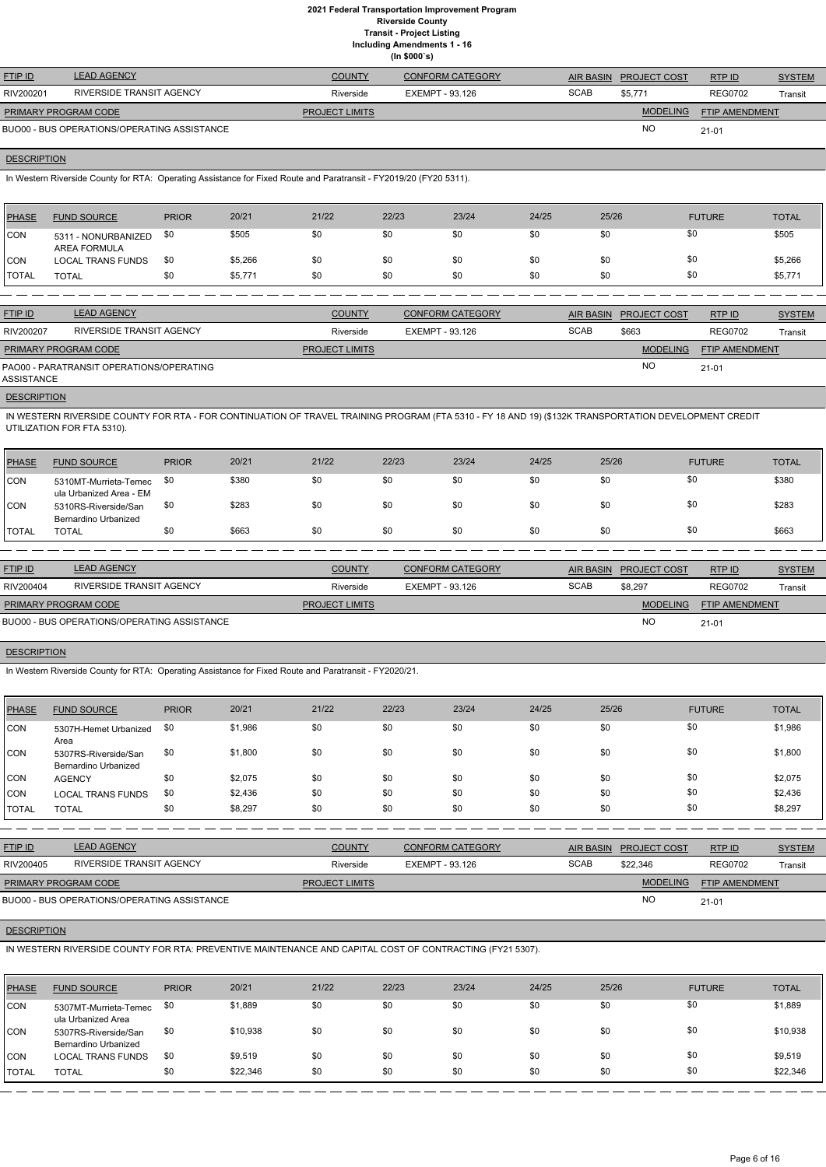# **2021 Federal Transportation Improvement Program Riverside County**

**Transit - Project Listing**

**Including Amendments 1 - 16 (In \$000`s)**

| <b>FTIP ID</b>              | <b>LEAD AGENCY</b>                          | <b>COUNTY</b>         | <b>CONFORM CATEGORY</b> |             | AIR BASIN PROJECT COST | RTPID                 | <b>SYSTEM</b> |
|-----------------------------|---------------------------------------------|-----------------------|-------------------------|-------------|------------------------|-----------------------|---------------|
| RIV200201                   | RIVERSIDE TRANSIT AGENCY                    | Riverside             | EXEMPT - 93.126         | <b>SCAB</b> | \$5,771                | <b>REG0702</b>        | Transit       |
| <b>PRIMARY PROGRAM CODE</b> |                                             | <b>PROJECT LIMITS</b> |                         |             | <b>MODELING</b>        | <b>FTIP AMENDMENT</b> |               |
|                             | BUO00 - BUS OPERATIONS/OPERATING ASSISTANCE |                       |                         |             | <b>NO</b>              | $21 - 01$             |               |

### **DESCRIPTION**

In Western Riverside County for RTA: Operating Assistance for Fixed Route and Paratransit - FY2019/20 (FY20 5311).

| PHASE        | <b>FUND SOURCE</b>                  | <b>PRIOR</b> | 20/21   | 21/22 | 22/23 | 23/24 | 24/25 | 25/26 | <b>FUTURE</b> | <b>TOTAL</b> |
|--------------|-------------------------------------|--------------|---------|-------|-------|-------|-------|-------|---------------|--------------|
| <b>CON</b>   | 5311 - NONURBANIZED<br>AREA FORMULA | \$0          | \$505   | \$0   | \$0   | \$0   | \$0   | \$0   | \$0           | \$505        |
| CON          | <b>LOCAL TRANS FUNDS</b>            | \$0          | \$5,266 | \$0   | \$0   | \$0   | \$0   | \$0   | \$0           | \$5,266      |
| <b>TOTAL</b> | <b>TOTAL</b>                        | \$0          | \$5,771 | \$0   | \$0   | \$0   | \$0   | \$0   | \$0           | \$5,771      |

| <b>FTIP ID</b>              | <b>LEAD AGENCY</b>                       | <b>COUNTY</b>         | <b>CONFORM CATEGORY</b> |             | AIR BASIN PROJECT COST | RTP ID                | <b>SYSTEM</b> |
|-----------------------------|------------------------------------------|-----------------------|-------------------------|-------------|------------------------|-----------------------|---------------|
| RIV200207                   | RIVERSIDE TRANSIT AGENCY                 | Riverside             | EXEMPT - 93.126         | <b>SCAB</b> | \$663                  | <b>REG0702</b>        | Transit       |
| <b>PRIMARY PROGRAM CODE</b> |                                          | <b>PROJECT LIMITS</b> |                         |             | <b>MODELING</b>        | <b>FTIP AMENDMENT</b> |               |
| ASSISTANCE                  | PAO00 - PARATRANSIT OPERATIONS/OPERATING |                       |                         |             | <b>NC</b>              | $21 - 01$             |               |
|                             |                                          |                       |                         |             |                        |                       |               |

**DESCRIPTION** 

IN WESTERN RIVERSIDE COUNTY FOR RTA - FOR CONTINUATION OF TRAVEL TRAINING PROGRAM (FTA 5310 - FY 18 AND 19) (\$132K TRANSPORTATION DEVELOPMENT CREDIT UTILIZATION FOR FTA 5310).

| <b>PHASE</b> | <b>FUND SOURCE</b>                               | <b>PRIOR</b> | 20/21 | 21/22 | 22/23 | 23/24 | 24/25 | 25/26 | <b>FUTURE</b> | <b>TOTAL</b> |
|--------------|--------------------------------------------------|--------------|-------|-------|-------|-------|-------|-------|---------------|--------------|
| <b>CON</b>   | 5310MT-Murrieta-Temec<br>ula Urbanized Area - EM | \$0          | \$380 | \$0   | \$0   | \$0   | \$0   | \$0   | \$0           | \$380        |
| CON          | 5310RS-Riverside/San<br>Bernardino Urbanized     | \$0          | \$283 | \$0   | \$0   | \$0   | \$0   | \$0   | \$0           | \$283        |
| <b>TOTAL</b> | TOTAL                                            | \$0          | \$663 | \$0   | \$0   | \$0   | \$0   | \$0   | \$0           | \$663        |

| <b>FTIP ID</b>              | <b>LEAD AGENCY</b>                          | <b>COUNTY</b>         | <b>CONFORM CATEGORY</b> | AIR BASIN   | <b>PROJECT COST</b> | RTPID                 | <b>SYSTEM</b> |
|-----------------------------|---------------------------------------------|-----------------------|-------------------------|-------------|---------------------|-----------------------|---------------|
| RIV200404                   | RIVERSIDE TRANSIT AGENCY                    | Riverside             | EXEMPT - 93.126         | <b>SCAB</b> | \$8.297             | <b>REG0702</b>        | Transit       |
| <b>PRIMARY PROGRAM CODE</b> |                                             | <b>PROJECT LIMITS</b> |                         |             | <b>MODELING</b>     | <b>FTIP AMENDMENT</b> |               |
|                             | BUO00 - BUS OPERATIONS/OPERATING ASSISTANCE |                       |                         |             | <b>NO</b>           | $21 - 01$             |               |

### **DESCRIPTION**

In Western Riverside County for RTA: Operating Assistance for Fixed Route and Paratransit - FY2020/21.

| <b>PHASE</b> | <b>FUND SOURCE</b>                           | <b>PRIOR</b> | 20/21   | 21/22 | 22/23 | 23/24 | 24/25 | 25/26 | <b>FUTURE</b> | <b>TOTAL</b> |
|--------------|----------------------------------------------|--------------|---------|-------|-------|-------|-------|-------|---------------|--------------|
| <b>CON</b>   | 5307H-Hemet Urbanized<br>Area                | \$0          | \$1,986 | \$0   | \$0   | \$0   | \$0   | \$0   | \$0           | \$1,986      |
| <b>CON</b>   | 5307RS-Riverside/San<br>Bernardino Urbanized | \$0          | \$1,800 | \$0   | \$0   | \$0   | \$0   | \$0   | \$0           | \$1,800      |
| <b>CON</b>   | <b>AGENCY</b>                                | \$0          | \$2,075 | \$0   | \$0   | \$0   | \$0   | \$0   | \$0           | \$2,075      |
| <b>CON</b>   | <b>LOCAL TRANS FUNDS</b>                     | \$0          | \$2,436 | \$0   | \$0   | \$0   | \$0   | \$0   | \$0           | \$2,436      |
| <b>TOTAL</b> | <b>TOTAL</b>                                 | \$0          | \$8,297 | \$0   | \$0   | \$0   | \$0   | \$0   | \$0           | \$8,297      |

MODELING FTIP AMENDMENT

|                |                          | _____________ |                         |                  | . <b>.</b>          |                |               |
|----------------|--------------------------|---------------|-------------------------|------------------|---------------------|----------------|---------------|
| RIV200405      | RIVERSIDE TRANSIT AGENCY | Riverside     | EXEMPT - 93.126         | SCAB             | \$22.346            | <b>REG0702</b> | Transit       |
| <u>FTIP ID</u> | <b>LEAD AGENCY</b>       | COUNTY        | <b>CONFORM CATEGORY</b> | <b>AIR BASIN</b> | <b>PROJECT COST</b> | RTP ID         | <b>SYSTEM</b> |

NO

**DESCRIPTION** 

IN WESTERN RIVERSIDE COUNTY FOR RTA: PREVENTIVE MAINTENANCE AND CAPITAL COST OF CONTRACTING (FY21 5307).

21-01

BUO00 - BUS OPERATIONS/OPERATING ASSISTANCE

**PROJECT LIMITS** 

| <b>PHASE</b>   | <b>FUND SOURCE</b>                           | <b>PRIOR</b> | 20/21    | 21/22 | 22/23 | 23/24 | 24/25 | 25/26 | <b>FUTURE</b> | <b>TOTAL</b> |
|----------------|----------------------------------------------|--------------|----------|-------|-------|-------|-------|-------|---------------|--------------|
| <b>CON</b>     | 5307MT-Murrieta-Temec<br>ula Urbanized Area  | \$0          | \$1,889  | \$0   | \$0   | \$0   | \$0   | \$0   | \$0           | \$1,889      |
| <b>CON</b>     | 5307RS-Riverside/San<br>Bernardino Urbanized | \$0          | \$10,938 | \$0   | \$0   | \$0   | \$0   | \$0   | \$0           | \$10,938     |
| CON            | <b>LOCAL TRANS FUNDS</b>                     | \$0          | \$9,519  | \$0   | \$0   | \$0   | \$0   | \$0   | \$0           | \$9,519      |
| <b>I</b> TOTAL | <b>TOTAL</b>                                 | \$0          | \$22,346 | \$0   | \$0   | \$0   | \$0   | \$0   | \$0           | \$22,346     |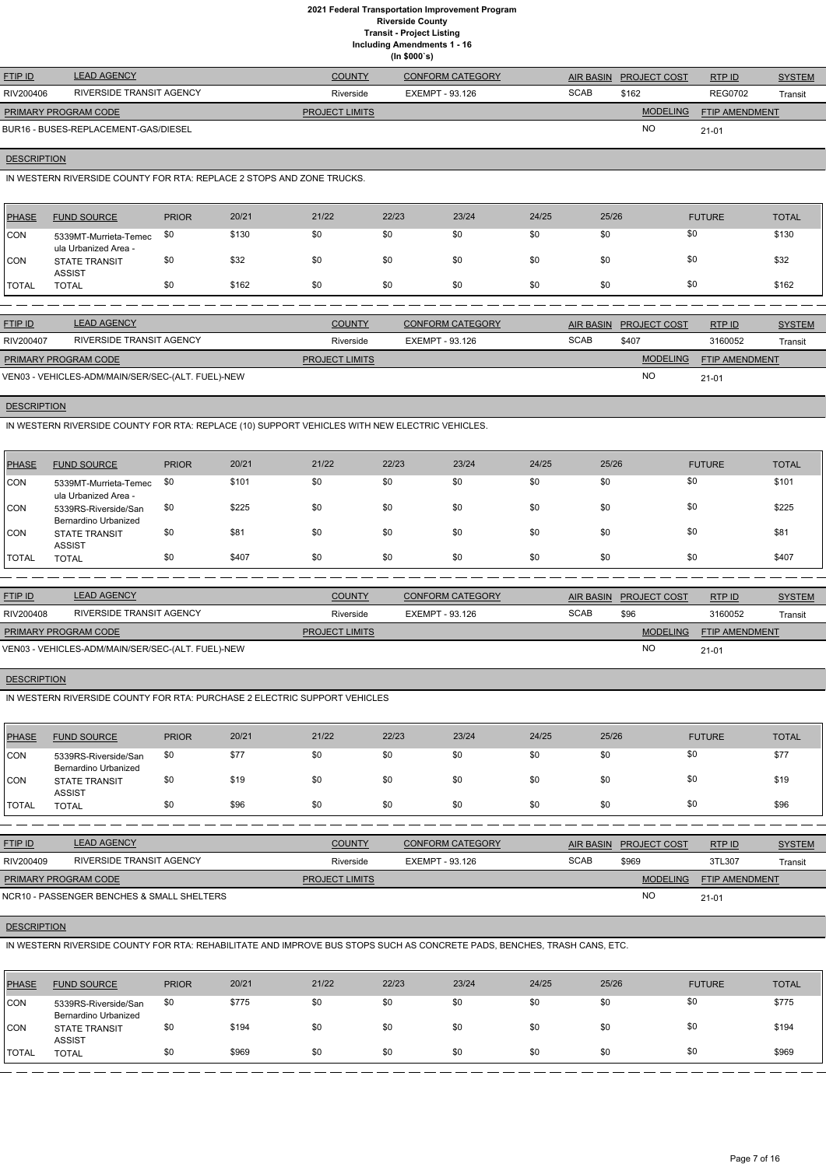**Including Amendments 1 - 16**

**(In \$000`s)**

| <b>FTIP ID</b>              | <b>LEAD AGENCY</b>                   | <b>COUNTY</b>         | <b>CONFORM CATEGORY</b> | <b>AIR BASIN</b> | <b>PROJECT COST</b> | RTPID                 | <b>SYSTEM</b> |
|-----------------------------|--------------------------------------|-----------------------|-------------------------|------------------|---------------------|-----------------------|---------------|
| RIV200406                   | RIVERSIDE TRANSIT AGENCY             | Riverside             | EXEMPT - 93.126         | <b>SCAB</b>      | \$162               | <b>REG0702</b>        | Transit       |
| <b>PRIMARY PROGRAM CODE</b> |                                      | <b>PROJECT LIMITS</b> |                         |                  | <b>MODELING</b>     | <b>FTIP AMENDMENT</b> |               |
|                             | BUR16 - BUSES-REPLACEMENT-GAS/DIESEL |                       |                         |                  | <b>NO</b>           | $21 - 01$             |               |

# **DESCRIPTION**

IN WESTERN RIVERSIDE COUNTY FOR RTA: REPLACE 2 STOPS AND ZONE TRUCKS.

| PHASE         | <b>FUND SOURCE</b>                            | <b>PRIOR</b> | 20/21 | 21/22 | 22/23 | 23/24 | 24/25 | 25/26 | <b>FUTURE</b> | <b>TOTAL</b> |
|---------------|-----------------------------------------------|--------------|-------|-------|-------|-------|-------|-------|---------------|--------------|
| <b>CON</b>    | 5339MT-Murrieta-Temec<br>ula Urbanized Area - | \$0          | \$130 | \$0   | \$0   | \$0   | \$0   | \$0   | \$0           | \$130        |
| <b>CON</b>    | <b>STATE TRANSIT</b><br><b>ASSIST</b>         | \$0          | \$32  | \$0   | \$0   | \$0   | \$0   | \$0   | \$0           | \$32         |
| <b>ITOTAL</b> | <b>TOTAL</b>                                  | \$0          | \$162 | \$0   | \$0   | \$0   | \$0   | \$0   | \$0           | \$162        |
|               |                                               |              |       |       |       |       |       |       |               |              |

| <b>FTIP ID</b>                                    | <b>LEAD AGENCY</b>       | <b>COUNTY</b>         | <b>CONFORM CATEGORY</b> |             | AIR BASIN PROJECT COST | RTPID                 | <b>SYSTEM</b> |
|---------------------------------------------------|--------------------------|-----------------------|-------------------------|-------------|------------------------|-----------------------|---------------|
| RIV200407                                         | RIVERSIDE TRANSIT AGENCY | Riverside             | EXEMPT - 93.126         | <b>SCAB</b> | \$407                  | 3160052               | Transit       |
| <b>PRIMARY PROGRAM CODE</b>                       |                          | <b>PROJECT LIMITS</b> |                         |             | <b>MODELING</b>        | <b>FTIP AMENDMENT</b> |               |
| VEN03 - VEHICLES-ADM/MAIN/SER/SEC-(ALT. FUEL)-NEW |                          |                       |                         |             | <b>NC</b>              | $21 - 01$             |               |

# **DESCRIPTION**

IN WESTERN RIVERSIDE COUNTY FOR RTA: REPLACE (10) SUPPORT VEHICLES WITH NEW ELECTRIC VEHICLES.

| PHASE      | <b>FUND SOURCE</b>                            | <b>PRIOR</b> | 20/21 | 21/22 | 22/23 | 23/24 | 24/25 | 25/26 | <b>FUTURE</b> | <b>TOTAL</b> |
|------------|-----------------------------------------------|--------------|-------|-------|-------|-------|-------|-------|---------------|--------------|
| <b>CON</b> | 5339MT-Murrieta-Temec<br>ula Urbanized Area - | \$0          | \$101 | \$0   | \$0   | \$0   | \$0   | \$0   | \$0           | \$101        |
| <b>CON</b> | 5339RS-Riverside/San<br>Bernardino Urbanized  | \$0          | \$225 | \$0   | \$0   | \$0   | \$0   | \$0   | \$0           | \$225        |
| <b>CON</b> | <b>STATE TRANSIT</b><br><b>ASSIST</b>         | \$0          | \$81  | \$0   | \$0   | \$0   | \$0   | \$0   | \$0           | \$81         |
| TOTAL      | TOTAL                                         | \$0          | \$407 | \$0   | \$0   | \$0   | \$0   | \$0   | \$0           | \$407        |

| <b>FTIP ID</b>                                    | <b>LEAD AGENCY</b>       | <b>COUNTY</b>         | <b>CONFORM CATEGORY</b> |             | AIR BASIN PROJECT COST | RTPID                 | <b>SYSTEM</b> |
|---------------------------------------------------|--------------------------|-----------------------|-------------------------|-------------|------------------------|-----------------------|---------------|
| RIV200408                                         | RIVERSIDE TRANSIT AGENCY | Riverside             | EXEMPT - 93.126         | <b>SCAB</b> | \$96                   | 3160052               | Transit       |
| <b>PRIMARY PROGRAM CODE</b>                       |                          | <b>PROJECT LIMITS</b> |                         |             | <b>MODELING</b>        | <b>FTIP AMENDMENT</b> |               |
| VEN03 - VEHICLES-ADM/MAIN/SER/SEC-(ALT. FUEL)-NEW |                          |                       |                         |             | <b>NC</b>              | $21 - 01$             |               |

### **DESCRIPTION**

IN WESTERN RIVERSIDE COUNTY FOR RTA: PURCHASE 2 ELECTRIC SUPPORT VEHICLES

| <b>PHASE</b> | <b>FUND SOURCE</b>                           | <b>PRIOR</b> | 20/21 | 21/22 | 22/23 | 23/24 | 24/25 | 25/26 | <b>FUTURE</b> | <b>TOTAL</b> |
|--------------|----------------------------------------------|--------------|-------|-------|-------|-------|-------|-------|---------------|--------------|
| <b>CON</b>   | 5339RS-Riverside/San<br>Bernardino Urbanized | \$0          | \$77  | \$0   | \$0   | \$0   | \$0   | \$0   | \$0           | \$77         |
| <b>CON</b>   | <b>STATE TRANSIT</b><br><b>ASSIST</b>        | \$0          | \$19  | \$0   | \$0   | \$0   | \$0   | \$0   | \$0           | \$19         |
| <b>TOTAL</b> | <b>TOTAL</b>                                 | \$0          | \$96  | \$0   | \$0   | \$0   | \$0   | \$0   | \$0           | \$96         |

| <u>FTIP ID</u>              | <b>LEAD AGENCY</b>       | <b>COUNTY</b>         | <b>CONFORM CATEGORY</b> | <b>AIR BASIN</b> | <b>PROJECT COST</b> | RTP ID                | <b>SYSTEM</b> |
|-----------------------------|--------------------------|-----------------------|-------------------------|------------------|---------------------|-----------------------|---------------|
| RIV200409                   | RIVERSIDE TRANSIT AGENCY | Riverside             | EXEMPT - 93.126         | <b>SCAB</b>      | \$969               | 3TL307                | Transit       |
| <b>PRIMARY PROGRAM CODE</b> |                          | <b>PROJECT LIMITS</b> |                         |                  | <b>MODELING</b>     | <b>FTIP AMENDMENT</b> |               |

| <b>TERS</b><br>NCR <sub>10</sub><br>ASSENGER BENC'<br>, SMAL<br>,,,,,<br>SHEI<br><br>$ \mu$ | NC. | 210<br>. v.<br>- 1 |
|---------------------------------------------------------------------------------------------|-----|--------------------|

### **DESCRIPTION**

IN WESTERN RIVERSIDE COUNTY FOR RTA: REHABILITATE AND IMPROVE BUS STOPS SUCH AS CONCRETE PADS, BENCHES, TRASH CANS, ETC.

| PHASE      | <b>FUND SOURCE</b>                           | <b>PRIOR</b> | 20/21 | 21/22 | 22/23 | 23/24 | 24/25 | 25/26 | <b>FUTURE</b> | <b>TOTAL</b> |
|------------|----------------------------------------------|--------------|-------|-------|-------|-------|-------|-------|---------------|--------------|
| <b>CON</b> | 5339RS-Riverside/San<br>Bernardino Urbanized | \$0          | \$775 | \$0   | \$0   | \$0   | \$0   | \$0   | \$0           | \$775        |
| <b>CON</b> | <b>STATE TRANSIT</b><br><b>ASSIST</b>        | \$0          | \$194 | \$0   | \$0   | \$0   | \$0   | \$0   | \$0           | \$194        |
| TOTAL      | <b>TOTAL</b>                                 | \$0          | \$969 | \$0   | \$0   | \$0   | \$0   | \$0   | \$0           | \$969        |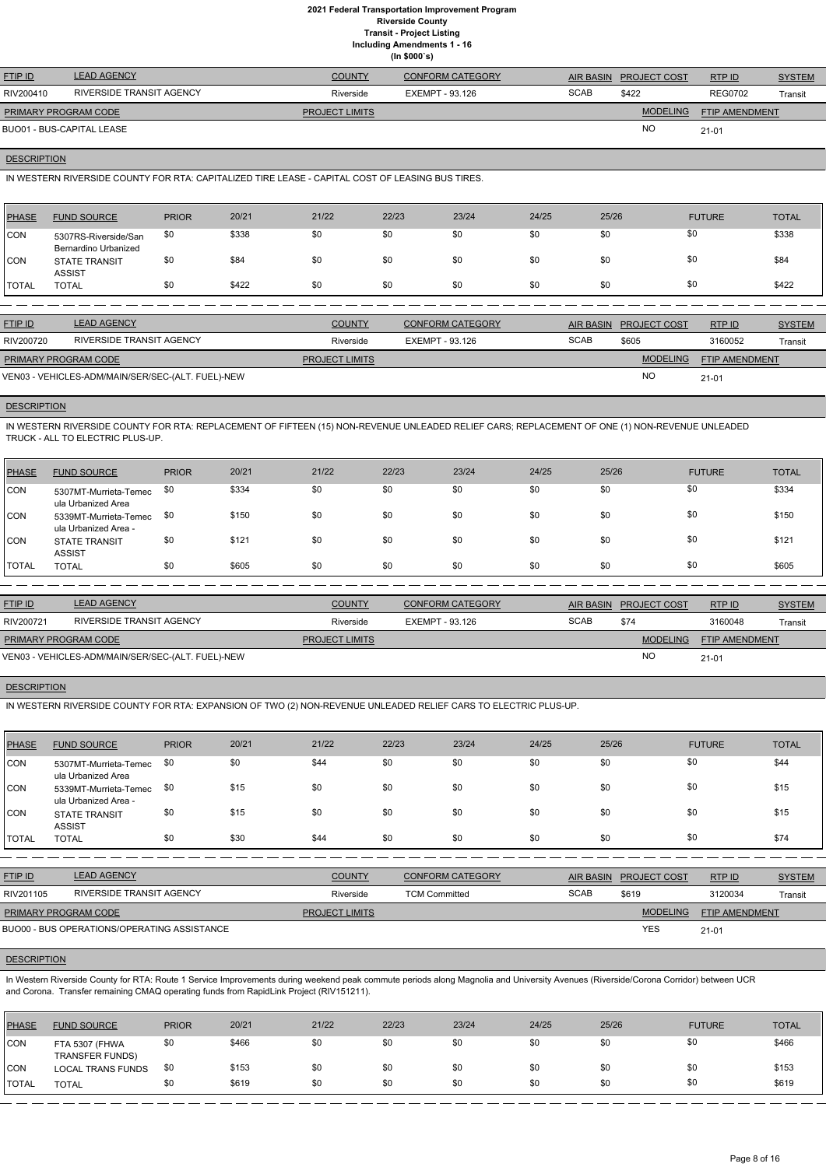**Including Amendments 1 - 16**

|  | ng Amenuments |
|--|---------------|
|  | (ln \$000's)  |

| <b>FTIP ID</b>              | <b>LEAD AGENCY</b>              | <b>COUNTY</b>         | CONFORM CATEGORY |             | AIR BASIN PROJECT COST | RTPID                 | <b>SYSTEM</b> |
|-----------------------------|---------------------------------|-----------------------|------------------|-------------|------------------------|-----------------------|---------------|
| RIV200410                   | <b>RIVERSIDE TRANSIT AGENCY</b> | Riverside             | EXEMPT - 93.126  | <b>SCAB</b> | \$422                  | <b>REG0702</b>        | Transit       |
| <b>PRIMARY PROGRAM CODE</b> |                                 | <b>PROJECT LIMITS</b> |                  |             | <b>MODELING</b>        | <b>FTIP AMENDMENT</b> |               |
| BUO01 - BUS-CAPITAL LEASE   |                                 |                       |                  |             | <b>NO</b>              | $21 - 01$             |               |

#### **DESCRIPTION**

IN WESTERN RIVERSIDE COUNTY FOR RTA: CAPITALIZED TIRE LEASE - CAPITAL COST OF LEASING BUS TIRES.

| <b>PHASE</b> | <b>FUND SOURCE</b>                           | <b>PRIOR</b> | 20/21 | 21/22 | 22/23 | 23/24 | 24/25 | 25/26 | <b>FUTURE</b> | <b>TOTAL</b> |
|--------------|----------------------------------------------|--------------|-------|-------|-------|-------|-------|-------|---------------|--------------|
| <b>CON</b>   | 5307RS-Riverside/San<br>Bernardino Urbanized | \$0          | \$338 | \$0   | \$0   | \$0   | \$0   | \$0   | \$0           | \$338        |
| <b>CON</b>   | <b>STATE TRANSIT</b><br><b>ASSIST</b>        | \$0          | \$84  | \$0   | \$0   | \$0   | \$0   | \$0   | \$0           | \$84         |
| <b>TOTAL</b> | <b>TOTAL</b>                                 | \$0          | \$422 | \$0   | \$0   | \$0   | \$0   | \$0   | \$0           | \$422        |
|              |                                              |              |       |       |       |       |       |       |               |              |

| <b>FTIP ID</b>              | <b>LEAD AGENCY</b>                                | <b>COUNTY</b>         | <b>CONFORM CATEGORY</b> |             | AIR BASIN PROJECT COST | <b>RTPID</b>          | <b>SYSTEM</b> |
|-----------------------------|---------------------------------------------------|-----------------------|-------------------------|-------------|------------------------|-----------------------|---------------|
| RIV200720                   | RIVERSIDE TRANSIT AGENCY                          | Riverside             | EXEMPT - 93.126         | <b>SCAB</b> | \$605                  | 3160052               | Transit       |
| <b>PRIMARY PROGRAM CODE</b> |                                                   | <b>PROJECT LIMITS</b> |                         |             | <b>MODELING</b>        | <b>FTIP AMENDMENT</b> |               |
|                             | VEN03 - VEHICLES-ADM/MAIN/SER/SEC-(ALT. FUEL)-NEW |                       |                         |             | <b>NO</b>              | $21 - 01$             |               |

# **DESCRIPTION**

IN WESTERN RIVERSIDE COUNTY FOR RTA: REPLACEMENT OF FIFTEEN (15) NON-REVENUE UNLEADED RELIEF CARS; REPLACEMENT OF ONE (1) NON-REVENUE UNLEADED TRUCK - ALL TO ELECTRIC PLUS-UP.

| <b>PHASE</b> | <b>FUND SOURCE</b>                            | <b>PRIOR</b> | 20/21 | 21/22 | 22/23 | 23/24 | 24/25 | 25/26 | <b>FUTURE</b> | <b>TOTAL</b> |
|--------------|-----------------------------------------------|--------------|-------|-------|-------|-------|-------|-------|---------------|--------------|
| <b>CON</b>   | 5307MT-Murrieta-Temec<br>ula Urbanized Area   | \$0          | \$334 | \$0   | \$0   | \$0   | \$0   | \$0   | \$0           | \$334        |
| <b>CON</b>   | 5339MT-Murrieta-Temec<br>ula Urbanized Area - | \$0          | \$150 | \$0   | \$0   | \$0   | \$0   | \$0   | \$0           | \$150        |
| <b>CON</b>   | <b>STATE TRANSIT</b><br><b>ASSIST</b>         | \$0          | \$121 | \$0   | \$0   | \$0   | \$0   | \$0   | \$0           | \$121        |
| <b>TOTAL</b> | <b>TOTAL</b>                                  | \$0          | \$605 | \$0   | \$0   | \$0   | \$0   | \$0   | \$0           | \$605        |

In Western Riverside County for RTA: Route 1 Service Improvements during weekend peak commute periods along Magnolia and University Avenues (Riverside/Corona Corridor) between UCR and Corona. Transfer remaining CMAQ operating funds from RapidLink Project (RIV151211).

| <b>FTIP ID</b>       | <b>LEAD AGENCY</b>                                | <b>COUNTY</b>         | <b>CONFORM CATEGORY</b> |             | AIR BASIN PROJECT COST | RTPID                 | <b>SYSTEM</b> |
|----------------------|---------------------------------------------------|-----------------------|-------------------------|-------------|------------------------|-----------------------|---------------|
| RIV200721            | RIVERSIDE TRANSIT AGENCY                          | Riverside             | EXEMPT - 93.126         | <b>SCAB</b> | \$74                   | 3160048               | Transit       |
| PRIMARY PROGRAM CODE |                                                   | <b>PROJECT LIMITS</b> |                         |             | <b>MODELING</b>        | <b>FTIP AMENDMENT</b> |               |
|                      | VEN03 - VEHICLES-ADM/MAIN/SER/SEC-(ALT. FUEL)-NEW |                       |                         |             | <b>NC</b>              | $21 - 01$             |               |

#### **DESCRIPTION**

IN WESTERN RIVERSIDE COUNTY FOR RTA: EXPANSION OF TWO (2) NON-REVENUE UNLEADED RELIEF CARS TO ELECTRIC PLUS-UP.

| <b>PHASE</b> | <b>FUND SOURCE</b>                            | <b>PRIOR</b> | 20/21 | 21/22 | 22/23 | 23/24 | 24/25 | 25/26 | <b>FUTURE</b> | <b>TOTAL</b> |
|--------------|-----------------------------------------------|--------------|-------|-------|-------|-------|-------|-------|---------------|--------------|
| <b>CON</b>   | 5307MT-Murrieta-Temec<br>ula Urbanized Area   | \$0          | \$0   | \$44  | \$0   | \$0   | \$0   | \$0   | \$0           | \$44         |
| <b>CON</b>   | 5339MT-Murrieta-Temec<br>ula Urbanized Area - | \$0          | \$15  | \$0   | \$0   | \$0   | \$0   | \$0   | \$0           | \$15         |
| <b>CON</b>   | <b>STATE TRANSIT</b><br><b>ASSIST</b>         | \$0          | \$15  | \$0   | \$0   | \$0   | \$0   | \$0   | \$0           | \$15         |
| <b>TOTAL</b> | <b>TOTAL</b>                                  | \$0          | \$30  | \$44  | \$0   | \$0   | \$0   | \$0   | \$0           | \$74         |

RTP ID

| RIV201105                   | RIVERSIDE TRANSIT AGENCY                    | Riverside             | <b>TCM Committed</b> | <b>SCAB</b> | \$619           | 3120034               | Transit |
|-----------------------------|---------------------------------------------|-----------------------|----------------------|-------------|-----------------|-----------------------|---------|
| <b>PRIMARY PROGRAM CODE</b> |                                             | <b>PROJECT LIMITS</b> |                      |             | <b>MODELING</b> | <b>FTIP AMENDMENT</b> |         |
|                             | BUO00 - BUS OPERATIONS/OPERATING ASSISTANCE |                       |                      |             | <b>YES</b>      | $21 - 01$             |         |

# **DESCRIPTION**

| <b>PHASE</b> | <b>FUND SOURCE</b>                       | <b>PRIOR</b> | 20/21 | 21/22 | 22/23 | 23/24 | 24/25 | 25/26 | <b>FUTURE</b> | <b>TOTAL</b> |
|--------------|------------------------------------------|--------------|-------|-------|-------|-------|-------|-------|---------------|--------------|
| <b>CON</b>   | FTA 5307 (FHWA<br><b>TRANSFER FUNDS)</b> | \$0          | \$466 | \$0   | \$0   | \$0   | \$0   | \$0   |               | \$466        |
| <b>CON</b>   | <b>LOCAL TRANS FUNDS</b>                 | \$0          | \$153 | \$0   | \$0   | \$0   | \$0   | \$0   |               | \$153        |
| <b>TOTAL</b> | <b>TOTAL</b>                             | \$0          | \$619 | \$0   | \$0   | \$0   | \$0   | \$0   |               | \$619        |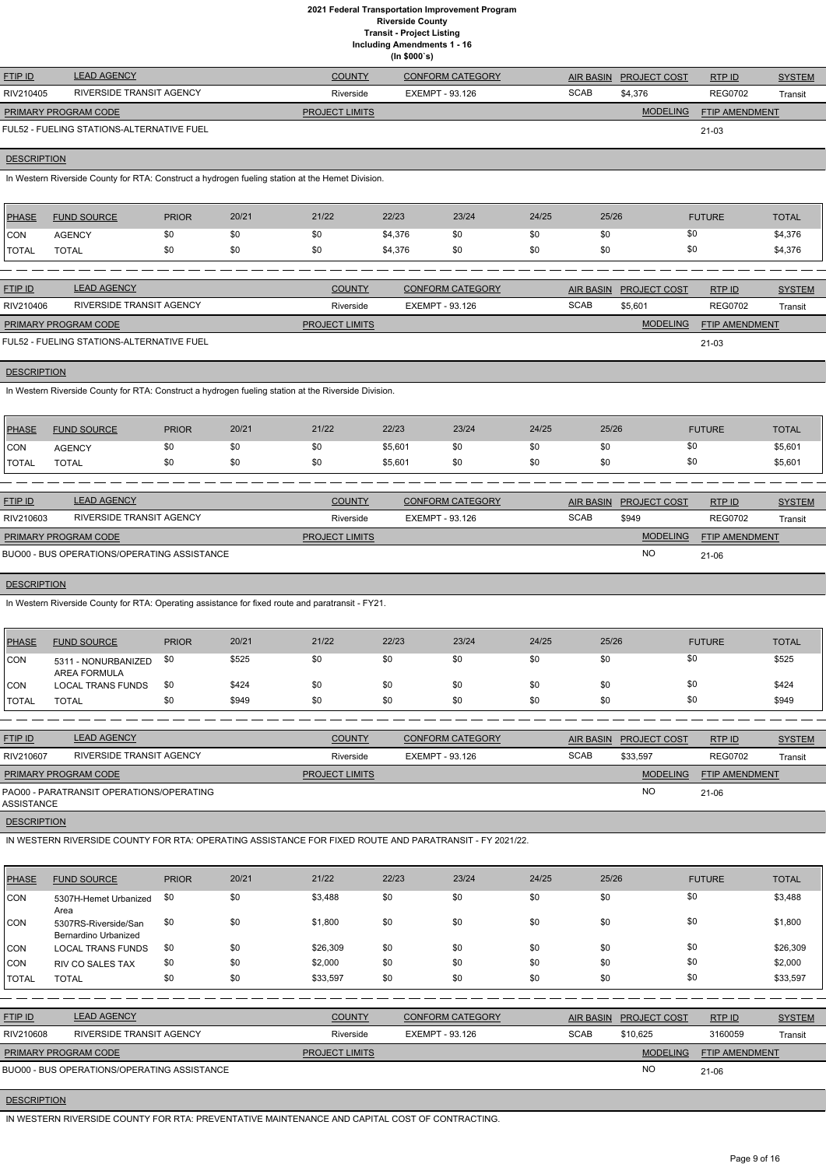|                    | 2021 Federal Transportation Improvement Program<br><b>Riverside County</b><br><b>Transit - Project Listing</b><br><b>Including Amendments 1 - 16</b><br>(ln \$000's) |              |       |                       |         |                         |       |                  |                              |                          |                          |  |  |
|--------------------|----------------------------------------------------------------------------------------------------------------------------------------------------------------------|--------------|-------|-----------------------|---------|-------------------------|-------|------------------|------------------------------|--------------------------|--------------------------|--|--|
| FTIP ID            | <b>LEAD AGENCY</b>                                                                                                                                                   |              |       | <b>COUNTY</b>         |         | <b>CONFORM CATEGORY</b> |       | <b>AIR BASIN</b> | PROJECT COST                 | RTP ID                   | <b>SYSTEM</b>            |  |  |
| RIV210405          | RIVERSIDE TRANSIT AGENCY                                                                                                                                             |              |       | Riverside             |         | <b>EXEMPT - 93.126</b>  |       | <b>SCAB</b>      | \$4,376                      | <b>REG0702</b>           | Transit                  |  |  |
|                    | PRIMARY PROGRAM CODE                                                                                                                                                 |              |       | <b>PROJECT LIMITS</b> |         |                         |       |                  | <b>MODELING</b>              | <b>FTIP AMENDMENT</b>    |                          |  |  |
|                    | FUL52 - FUELING STATIONS-ALTERNATIVE FUEL                                                                                                                            |              |       |                       |         |                         |       |                  |                              | $21-03$                  |                          |  |  |
| <b>DESCRIPTION</b> |                                                                                                                                                                      |              |       |                       |         |                         |       |                  |                              |                          |                          |  |  |
|                    | In Western Riverside County for RTA: Construct a hydrogen fueling station at the Hemet Division.                                                                     |              |       |                       |         |                         |       |                  |                              |                          |                          |  |  |
| <b>PHASE</b>       | <b>FUND SOURCE</b>                                                                                                                                                   | <b>PRIOR</b> | 20/21 | 21/22                 | 22/23   | 23/24                   | 24/25 | 25/26            |                              | <b>FUTURE</b>            | <b>TOTAL</b>             |  |  |
| <b>CON</b>         | <b>AGENCY</b>                                                                                                                                                        | \$0          | \$0   | \$0                   | \$4,376 | \$0                     | \$0   | \$0              | \$0                          |                          | \$4,376                  |  |  |
| <b>TOTAL</b>       | <b>TOTAL</b>                                                                                                                                                         | \$0          | \$0   | \$0                   | \$4,376 | \$0                     | \$0   | \$0              | \$0                          |                          | \$4,376                  |  |  |
|                    |                                                                                                                                                                      |              |       |                       |         |                         |       |                  |                              |                          |                          |  |  |
| <b>FTIP ID</b>     | <b>LEAD AGENCY</b>                                                                                                                                                   |              |       | <b>COUNTY</b>         |         | <b>CONFORM CATEGORY</b> |       | <b>AIR BASIN</b> | <b>PROJECT COST</b>          | RTP ID                   | <b>SYSTEM</b>            |  |  |
| RIV210406          | RIVERSIDE TRANSIT AGENCY                                                                                                                                             |              |       | Riverside             |         | EXEMPT - 93.126         |       | <b>SCAB</b>      | \$5,601                      | <b>REG0702</b>           | Transit                  |  |  |
|                    | PRIMARY PROGRAM CODE                                                                                                                                                 |              |       | <b>PROJECT LIMITS</b> |         |                         |       |                  | <b>MODELING</b>              | <b>FTIP AMENDMENT</b>    |                          |  |  |
|                    | FUL52 - FUELING STATIONS-ALTERNATIVE FUEL                                                                                                                            |              |       |                       |         |                         |       |                  |                              | $21-03$                  |                          |  |  |
| <b>DESCRIPTION</b> |                                                                                                                                                                      |              |       |                       |         |                         |       |                  |                              |                          |                          |  |  |
|                    | In Western Riverside County for RTA: Construct a hydrogen fueling station at the Riverside Division.                                                                 |              |       |                       |         |                         |       |                  |                              |                          |                          |  |  |
| <b>PHASE</b>       | <b>FUND SOURCE</b>                                                                                                                                                   | <b>PRIOR</b> | 20/21 | 21/22                 | 22/23   | 23/24                   | 24/25 | 25/26            |                              | <b>FUTURE</b>            | <b>TOTAL</b>             |  |  |
| CON                | <b>AGENCY</b>                                                                                                                                                        | \$0          | \$0   | \$0                   | \$5,601 | \$0                     | \$0   | \$0              | \$0                          |                          | \$5,601                  |  |  |
| <b>TOTAL</b>       | <b>TOTAL</b>                                                                                                                                                         | \$0          | \$0   | \$0                   | \$5,601 | \$0                     | \$0   | \$0              | \$0                          |                          | \$5,601                  |  |  |
| FTIP ID            | <b>LEAD AGENCY</b>                                                                                                                                                   |              |       | <b>COUNTY</b>         |         | <b>CONFORM CATEGORY</b> |       | <b>AIR BASIN</b> | <b>PROJECT COST</b>          |                          |                          |  |  |
| RIV210603          | RIVERSIDE TRANSIT AGENCY                                                                                                                                             |              |       | Riverside             |         | EXEMPT - 93.126         |       | <b>SCAB</b>      | \$949                        | RTP ID<br><b>REG0702</b> | <b>SYSTEM</b><br>Transit |  |  |
|                    |                                                                                                                                                                      |              |       |                       |         |                         |       |                  |                              |                          |                          |  |  |
|                    | PRIMARY PROGRAM CODE                                                                                                                                                 |              |       | <b>PROJECT LIMITS</b> |         |                         |       |                  | <b>MODELING</b><br><b>NO</b> | <b>FTIP AMENDMENT</b>    |                          |  |  |
|                    | BUO00 - BUS OPERATIONS/OPERATING ASSISTANCE                                                                                                                          |              |       |                       |         |                         |       |                  |                              | 21-06                    |                          |  |  |
| <b>DESCRIPTION</b> |                                                                                                                                                                      |              |       |                       |         |                         |       |                  |                              |                          |                          |  |  |
|                    | In Western Riverside County for RTA: Operating assistance for fixed route and paratransit - FY21.                                                                    |              |       |                       |         |                         |       |                  |                              |                          |                          |  |  |
| <b>PHASE</b>       | <b>FUND SOURCE</b>                                                                                                                                                   | <b>PRIOR</b> | 20/21 | 21/22                 | 22/23   | 23/24                   | 24/25 | 25/26            |                              | <b>FUTURE</b>            | <b>TOTAL</b>             |  |  |
| <b>CON</b>         | 5311 - NONURBANIZED<br>AREA FORMULA                                                                                                                                  | \$0          | \$525 | \$0                   | \$0     | \$0                     | \$0   | \$0              | \$0                          |                          | \$525                    |  |  |
| <b>CON</b>         | <b>LOCAL TRANS FUNDS</b>                                                                                                                                             | \$0          | \$424 | \$0                   | \$0     | \$0                     | \$0   | \$0              | \$0                          |                          | \$424                    |  |  |

ETIP ID LEAD AGENCY DE SYSTEM COUNTY CONFORM CATEGORY AIR BASIN PROJECT COST RTP ID SYSTEM STREM AND TRUP OF SA RTP ID RIV210607 RIVERSIDE TRANSIT AGENCY **Riverside EXEMPT - 93.126** SCAB \$33,597 REG0702 Transit REG0702 PRIMARY PROGRAM CODE **PROJECT LIMITS** MODELING FTIP AMENDMENT PAO00 - PARATRANSIT OPERATIONS/OPERATING NO 21-06 ASSISTANCE **DESCRIPTION** 

TOTAL TOTAL \$0 \$949 \$0 \$0 \$0 \$0 \$0 \$0 \$949

IN WESTERN RIVERSIDE COUNTY FOR RTA: OPERATING ASSISTANCE FOR FIXED ROUTE AND PARATRANSIT - FY 2021/22.

| <b>PHASE</b>   | <b>FUND SOURCE</b>                           | <b>PRIOR</b> | 20/21 | 21/22                 | 22/23                  | 23/24                   | 24/25 | 25/26            |                     | <b>FUTURE</b>  | <b>TOTAL</b>  |
|----------------|----------------------------------------------|--------------|-------|-----------------------|------------------------|-------------------------|-------|------------------|---------------------|----------------|---------------|
| CON            | 5307H-Hemet Urbanized<br>Area                | \$0          | \$0   | \$3,488               | \$0                    | \$0                     | \$0   | \$0              | \$0                 |                | \$3,488       |
| CON            | 5307RS-Riverside/San<br>Bernardino Urbanized | \$0          | \$0   | \$1,800               | \$0                    | \$0                     | \$0   | \$0              | \$0                 |                | \$1,800       |
| CON            | <b>LOCAL TRANS FUNDS</b>                     | \$0          | \$0   | \$26,309              | \$0                    | \$0                     | \$0   | \$0              | \$0                 |                | \$26,309      |
| ICON           | <b>RIV CO SALES TAX</b>                      | \$0          | \$0   | \$2,000               | \$0                    | \$0                     | \$0   | \$0              | \$0                 |                | \$2,000       |
| TOTAL          | <b>TOTAL</b>                                 | \$0          | \$0   | \$33,597              | \$0                    | \$0                     | \$0   | \$0              | \$0                 |                | \$33,597      |
|                |                                              |              |       |                       |                        |                         |       |                  |                     |                |               |
| <b>FTIP ID</b> | <b>LEAD AGENCY</b>                           |              |       | <b>COUNTY</b>         |                        | <b>CONFORM CATEGORY</b> |       | <b>AIR BASIN</b> | <b>PROJECT COST</b> | RTP ID         | <b>SYSTEM</b> |
| RIV210608      | RIVERSIDE TRANSIT AGENCY                     |              |       | Riverside             | <b>EXEMPT - 93.126</b> |                         |       | <b>SCAB</b>      | \$10,625            | 3160059        | Transit       |
|                | PRIMARY PROGRAM CODE                         |              |       | <b>PROJECT LIMITS</b> |                        |                         |       |                  | <b>MODELING</b>     | FTIP AMENDMENT |               |
|                | BUO00 - BUS OPERATIONS/OPERATING ASSISTANCE  |              |       |                       |                        |                         |       |                  | <b>NO</b>           | $21 - 06$      |               |

# **DESCRIPTION**

IN WESTERN RIVERSIDE COUNTY FOR RTA: PREVENTATIVE MAINTENANCE AND CAPITAL COST OF CONTRACTING.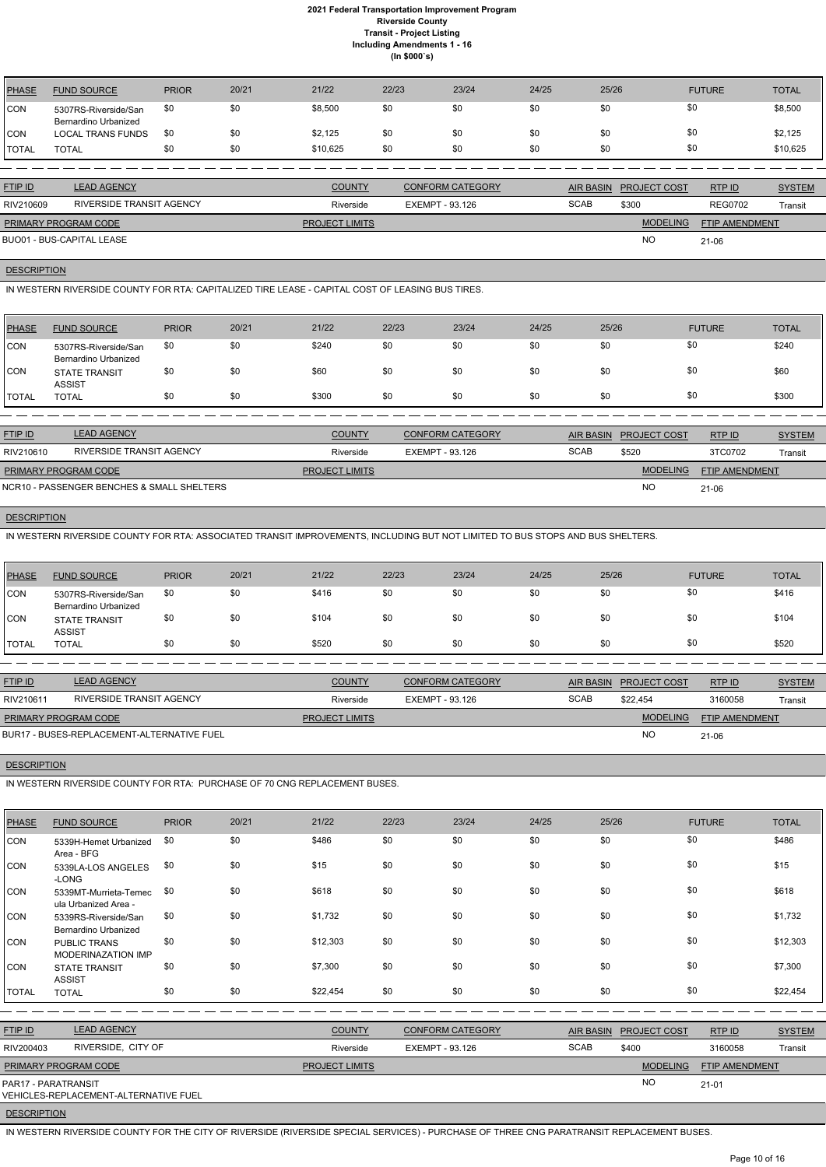| PHASE          | <b>FUND SOURCE</b>                           | <b>PRIOR</b> | 20/21 | 21/22    | 22/23 | 23/24 | 24/25 | 25/26 | <b>FUTURE</b> | <b>TOTAL</b> |
|----------------|----------------------------------------------|--------------|-------|----------|-------|-------|-------|-------|---------------|--------------|
| CON            | 5307RS-Riverside/San<br>Bernardino Urbanized | \$0          | \$0   | \$8,500  | \$0   | \$0   | \$0   | \$0   |               | \$8,500      |
| ICON           | <b>LOCAL TRANS FUNDS</b>                     | \$0          | \$0   | \$2,125  | \$0   | \$0   | \$0   | \$0   |               | \$2,125      |
| <b>I</b> TOTAL | <b>TOTAL</b>                                 | \$0          | \$0   | \$10,625 | \$0   | \$0   | \$0   | \$0   |               | \$10,625     |

| <b>FTIP ID</b>              | <b>LEAD AGENCY</b>       | <b>COUNTY</b>         | CONFORM CATEGORY | AIR BASIN   | <b>PROJECT COST</b> | RTPID                 | <b>SYSTEM</b> |
|-----------------------------|--------------------------|-----------------------|------------------|-------------|---------------------|-----------------------|---------------|
| RIV210609                   | RIVERSIDE TRANSIT AGENCY | Riverside             | EXEMPT - 93.126  | <b>SCAB</b> | \$300               | <b>REG0702</b>        | Transit       |
| <b>PRIMARY PROGRAM CODE</b> |                          | <b>PROJECT LIMITS</b> |                  |             | <b>MODELING</b>     | <b>FTIP AMENDMENT</b> |               |
| BUO01 - BUS-CAPITAL LEASE   |                          |                       |                  |             | <b>NO</b>           | 21-06                 |               |

# **DESCRIPTION**

IN WESTERN RIVERSIDE COUNTY FOR RTA: CAPITALIZED TIRE LEASE - CAPITAL COST OF LEASING BUS TIRES.

| PHASE        | <b>FUND SOURCE</b>                           | <b>PRIOR</b> | 20/21 | 21/22 | 22/23 | 23/24 | 24/25 | 25/26 | <b>FUTURE</b> | <b>TOTAL</b> |
|--------------|----------------------------------------------|--------------|-------|-------|-------|-------|-------|-------|---------------|--------------|
| <b>CON</b>   | 5307RS-Riverside/San<br>Bernardino Urbanized | \$0          | \$0   | \$240 | \$0   | \$0   | \$0   | \$0   | \$0           | \$240        |
| <b>CON</b>   | <b>STATE TRANSIT</b><br><b>ASSIST</b>        | \$0          | \$0   | \$60  | \$0   | \$0   | \$0   | \$0   | \$0           | \$60         |
| <b>TOTAL</b> | <b>TOTAL</b>                                 | \$0          | \$0   | \$300 | \$0   | \$0   | \$0   | \$0   | \$0           | \$300        |

| <b>FTIP ID</b>              | <b>LEAD AGENCY</b>                         | <b>COUNTY</b>         | <b>CONFORM CATEGORY</b> |             | AIR BASIN PROJECT COST | RTPID                 | <b>SYSTEM</b> |
|-----------------------------|--------------------------------------------|-----------------------|-------------------------|-------------|------------------------|-----------------------|---------------|
| RIV210610                   | RIVERSIDE TRANSIT AGENCY                   | Riverside             | EXEMPT - 93.126         | <b>SCAB</b> | \$520                  | 3TC0702               | Transit       |
| <b>PRIMARY PROGRAM CODE</b> |                                            | <b>PROJECT LIMITS</b> |                         |             | <b>MODELING</b>        | <b>FTIP AMENDMENT</b> |               |
|                             | NCR10 - PASSENGER BENCHES & SMALL SHELTERS |                       |                         |             | <b>NC</b>              | 21-06                 |               |

### **DESCRIPTION**

IN WESTERN RIVERSIDE COUNTY FOR RTA: ASSOCIATED TRANSIT IMPROVEMENTS, INCLUDING BUT NOT LIMITED TO BUS STOPS AND BUS SHELTERS.

| PHASE        | <b>FUND SOURCE</b>                                  | <b>PRIOR</b> | 20/21 | 21/22 | 22/23 | 23/24 | 24/25 | 25/26 | <b>FUTURE</b> | <b>TOTAL</b> |
|--------------|-----------------------------------------------------|--------------|-------|-------|-------|-------|-------|-------|---------------|--------------|
| <b>CON</b>   | 5307RS-Riverside/San<br><b>Bernardino Urbanized</b> | \$0          | \$0   | \$416 | \$0   | \$0   | \$0   | \$0   | \$0           | \$416        |
| <b>CON</b>   | <b>STATE TRANSIT</b><br><b>ASSIST</b>               | \$0          | \$0   | \$104 | \$0   | \$0   | \$0   | \$0   | \$0           | \$104        |
| <b>TOTAL</b> | <b>TOTAL</b>                                        | \$0          | \$0   | \$520 | \$0   | \$0   | \$0   | \$0   | \$0           | \$520        |

| <b>FTIP ID</b>              | <b>LEAD AGENCY</b>                         | <b>COUNTY</b>         | <b>CONFORM CATEGORY</b> |             | AIR BASIN PROJECT COST | <b>RTPID</b>          | <b>SYSTEM</b> |
|-----------------------------|--------------------------------------------|-----------------------|-------------------------|-------------|------------------------|-----------------------|---------------|
| RIV210611                   | RIVERSIDE TRANSIT AGENCY                   | Riverside             | EXEMPT - 93.126         | <b>SCAB</b> | \$22.454               | 3160058               | Transit       |
| <b>PRIMARY PROGRAM CODE</b> |                                            | <b>PROJECT LIMITS</b> |                         |             | <b>MODELING</b>        | <b>FTIP AMENDMENT</b> |               |
|                             | BUR17 - BUSES-REPLACEMENT-ALTERNATIVE FUEL |                       |                         |             | <b>NC</b>              | 21-06                 |               |

### **DESCRIPTION**

IN WESTERN RIVERSIDE COUNTY FOR RTA: PURCHASE OF 70 CNG REPLACEMENT BUSES.

| <b>PHASE</b> | <b>FUND SOURCE</b>                        | <b>PRIOR</b> | 20/21 | 21/22 | 22/23 | 23/24 | 24/25 | 25/26 | <b>FUTURE</b> | <b>TOTAL</b> |
|--------------|-------------------------------------------|--------------|-------|-------|-------|-------|-------|-------|---------------|--------------|
| CON          | 5339H-Hemet Urbanized                     | \$0          | \$0   | \$486 | \$0   | \$0   | \$0   | \$0   | \$0           | \$486        |
| CON          | Area - BFG<br>5339LA-LOS ANGELES<br>-LONG | \$0          | \$0   | \$15  | \$0   | \$0   | \$0   | \$0   | \$0           | \$15         |

| CON            | 5339MT-Murrieta-Temec<br>ula Urbanized Area - | \$0 | \$0 | \$618    | \$0 | \$0 | \$0 | \$0 | \$0 | \$618    |
|----------------|-----------------------------------------------|-----|-----|----------|-----|-----|-----|-----|-----|----------|
| CON            | 5339RS-Riverside/San<br>Bernardino Urbanized  | \$0 | \$0 | \$1,732  | \$0 | \$0 | \$0 | \$0 | \$0 | \$1,732  |
| ICON.          | <b>PUBLIC TRANS</b><br>MODERINAZATION IMP     | \$0 | \$0 | \$12,303 | \$0 | \$0 | \$0 | \$0 | \$0 | \$12,303 |
| CON            | <b>STATE TRANSIT</b><br><b>ASSIST</b>         | \$0 | \$0 | \$7,300  | \$0 | \$0 | \$0 | \$0 | \$0 | \$7,300  |
| <b>I</b> TOTAL | <b>TOTAL</b>                                  | \$0 | \$0 | \$22,454 | \$0 | \$0 | \$0 | \$0 | \$0 | \$22,454 |

| <b>FTIP ID</b>              | <b>LEAD AGENCY</b>                    | <b>COUNTY</b>         | <b>CONFORM CATEGORY</b> |             | AIR BASIN PROJECT COST | RTP ID                | <b>SYSTEM</b> |
|-----------------------------|---------------------------------------|-----------------------|-------------------------|-------------|------------------------|-----------------------|---------------|
| RIV200403                   | RIVERSIDE, CITY OF                    | Riverside             | EXEMPT - 93.126         | <b>SCAB</b> | \$400                  | 3160058               | Transit       |
| <b>PRIMARY PROGRAM CODE</b> |                                       | <b>PROJECT LIMITS</b> |                         |             | <b>MODELING</b>        | <b>FTIP AMENDMENT</b> |               |
| PAR17 - PARATRANSIT         | VEHICLES-REPLACEMENT-ALTERNATIVE FUEL |                       |                         |             | <b>NO</b>              | $21 - 01$             |               |

# **DESCRIPTION**

IN WESTERN RIVERSIDE COUNTY FOR THE CITY OF RIVERSIDE (RIVERSIDE SPECIAL SERVICES) - PURCHASE OF THREE CNG PARATRANSIT REPLACEMENT BUSES.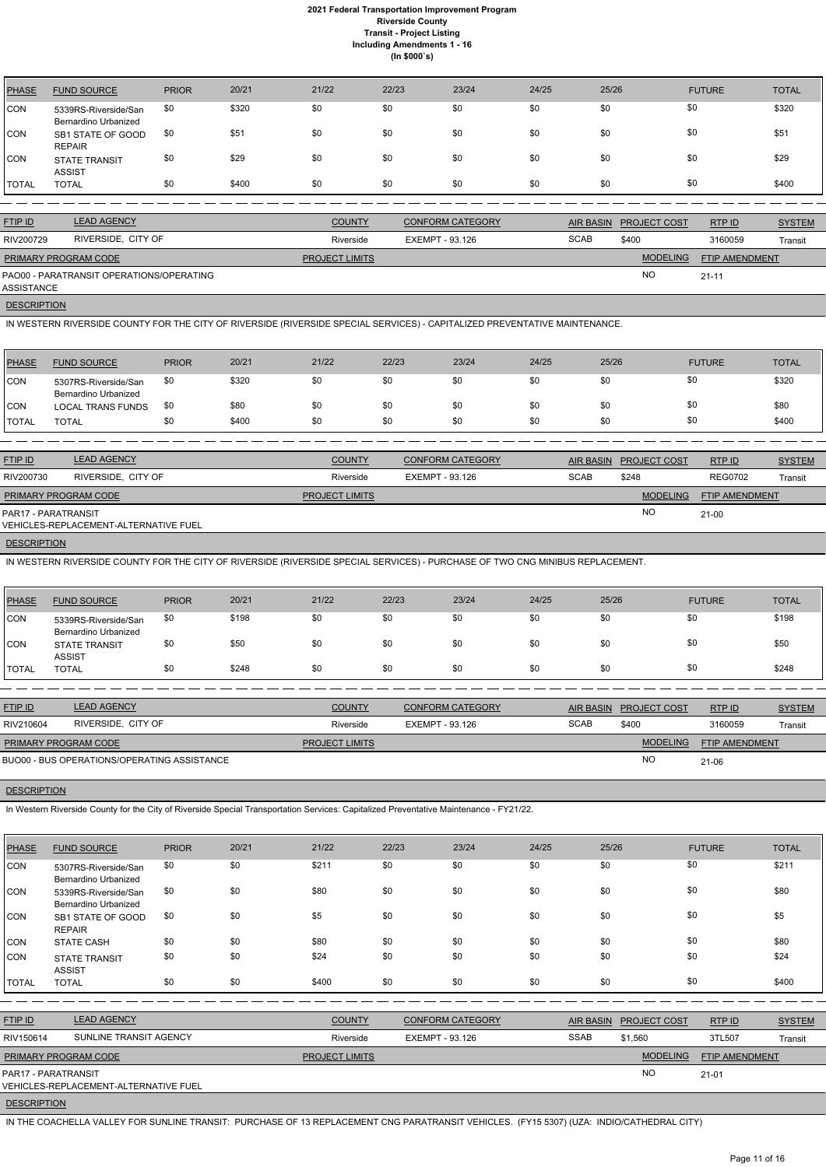| <b>PHASE</b> | <b>FUND SOURCE</b>                           | <b>PRIOR</b> | 20/21 | 21/22 | 22/23 | 23/24 | 24/25 | 25/26 | <b>FUTURE</b> | <b>TOTAL</b> |
|--------------|----------------------------------------------|--------------|-------|-------|-------|-------|-------|-------|---------------|--------------|
| <b>CON</b>   | 5339RS-Riverside/San<br>Bernardino Urbanized | \$0          | \$320 | \$0   | \$0   | \$0   | \$0   | \$0   | \$0           | \$320        |
| <b>CON</b>   | SB1 STATE OF GOOD<br><b>REPAIR</b>           | \$0          | \$51  | \$0   | \$0   | \$0   | \$0   | \$0   | \$0           | \$51         |
| <b>CON</b>   | <b>STATE TRANSIT</b><br><b>ASSIST</b>        | \$0          | \$29  | \$0   | \$0   | \$0   | \$0   | \$0   | \$0           | \$29         |
| <b>TOTAL</b> | <b>TOTAL</b>                                 | \$0          | \$400 | \$0   | \$0   | \$0   | \$0   | \$0   | \$0           | \$400        |

| <b>FTIP ID</b>              | <b>LEAD AGENCY</b>                       | <b>COUNTY</b>         | <b>CONFORM CATEGORY</b> |             | AIR BASIN PROJECT COST | RTP ID                | <b>SYSTEM</b> |
|-----------------------------|------------------------------------------|-----------------------|-------------------------|-------------|------------------------|-----------------------|---------------|
| RIV200729                   | RIVERSIDE, CITY OF                       | Riverside             | EXEMPT - 93.126         | <b>SCAB</b> | \$400                  | 3160059               | Transit       |
| <b>PRIMARY PROGRAM CODE</b> |                                          | <b>PROJECT LIMITS</b> |                         |             | <b>MODELING</b>        | <b>FTIP AMENDMENT</b> |               |
| ASSISTANCE                  | PAO00 - PARATRANSIT OPERATIONS/OPERATING |                       |                         |             | <b>NC</b>              | $21 - 11$             |               |

**DESCRIPTION** 

IN WESTERN RIVERSIDE COUNTY FOR THE CITY OF RIVERSIDE (RIVERSIDE SPECIAL SERVICES) - CAPITALIZED PREVENTATIVE MAINTENANCE.

| PHASE        | <b>FUND SOURCE</b>                           | <b>PRIOR</b> | 20/21 | 21/22 | 22/23 | 23/24 | 24/25 | 25/26 | <b>FUTURE</b> | TOTAL |
|--------------|----------------------------------------------|--------------|-------|-------|-------|-------|-------|-------|---------------|-------|
| <b>CON</b>   | 5307RS-Riverside/San<br>Bernardino Urbanized | \$0          | \$320 | \$0   | \$0   | \$0   | \$0   | \$0   | \$0           | \$320 |
| <b>ICON</b>  | <b>LOCAL TRANS FUNDS</b>                     | \$0          | \$80  | \$0   | \$0   | \$0   | \$0   | \$0   | \$0           | \$80  |
| <b>TOTAL</b> | <b>TOTAL</b>                                 | \$0          | \$400 | \$0   | \$0   | \$0   | \$0   | \$0   | \$0           | \$400 |

| <b>FTIP ID</b>       | <b>LEAD AGENCY</b>                    | <b>COUNTY</b>         | <b>CONFORM CATEGORY</b> |             | AIR BASIN PROJECT COST | RTP ID                | <b>SYSTEM</b> |
|----------------------|---------------------------------------|-----------------------|-------------------------|-------------|------------------------|-----------------------|---------------|
| RIV200730            | RIVERSIDE, CITY OF                    | Riverside             | EXEMPT - 93.126         | <b>SCAB</b> | \$248                  | <b>REG0702</b>        | Transit       |
| PRIMARY PROGRAM CODE |                                       | <b>PROJECT LIMITS</b> |                         |             | <b>MODELING</b>        | <b>FTIP AMENDMENT</b> |               |
| PAR17 - PARATRANSIT  | VEHICLES-REPLACEMENT-ALTERNATIVE FUEL |                       |                         |             | NO                     | $21 - 00$             |               |

**DESCRIPTION** 

IN WESTERN RIVERSIDE COUNTY FOR THE CITY OF RIVERSIDE (RIVERSIDE SPECIAL SERVICES) - PURCHASE OF TWO CNG MINIBUS REPLACEMENT.

| PHASE      | <b>FUND SOURCE</b>                           | <b>PRIOR</b> | 20/21 | 21/22 | 22/23 | 23/24 | 24/25 | 25/26 | <b>FUTURE</b> | <b>TOTAL</b> |
|------------|----------------------------------------------|--------------|-------|-------|-------|-------|-------|-------|---------------|--------------|
| CON        | 5339RS-Riverside/San<br>Bernardino Urbanized | \$0          | \$198 | \$0   | \$0   | \$0   | \$0   |       | \$0           | \$198        |
| <b>CON</b> | <b>STATE TRANSIT</b><br><b>ASSIST</b>        | \$0          | \$50  | \$0   | \$0   | \$0   | \$0   |       | \$0           | \$50         |
| TOTAL      | <b>TOTAL</b>                                 | \$0          | \$248 | \$0   | \$0   | \$0   | \$0   | \$0   | \$0           | \$248        |

| <b>FTIP ID</b>       | <b>LEAD AGENCY</b>                          | <b>COUNTY</b>         | <b>CONFORM CATEGORY</b> |             | AIR BASIN PROJECT COST | RTP ID                | <b>SYSTEM</b> |
|----------------------|---------------------------------------------|-----------------------|-------------------------|-------------|------------------------|-----------------------|---------------|
| RIV210604            | RIVERSIDE, CITY OF                          | Riverside             | EXEMPT - 93.126         | <b>SCAB</b> | \$400                  | 3160059               | Transit       |
| PRIMARY PROGRAM CODE |                                             | <b>PROJECT LIMITS</b> |                         |             | <b>MODELING</b>        | <b>FTIP AMENDMENT</b> |               |
|                      | BUO00 - BUS OPERATIONS/OPERATING ASSISTANCE |                       |                         |             | <b>NC</b>              | 21-06                 |               |

#### **DESCRIPTION**

In Western Riverside County for the City of Riverside Special Transportation Services: Capitalized Preventative Maintenance - FY21/22.

| <b>PHASE</b>       | <b>FUND SOURCE</b>                                                  | <b>PRIOR</b> | 20/21 | 21/22          | 22/23                  | 23/24                   | 24/25       | 25/26            |                 | <b>FUTURE</b>  | <b>TOTAL</b>  |
|--------------------|---------------------------------------------------------------------|--------------|-------|----------------|------------------------|-------------------------|-------------|------------------|-----------------|----------------|---------------|
| <b>CON</b>         | 5307RS-Riverside/San<br>Bernardino Urbanized                        | \$0          | \$0   | \$211          | \$0                    | \$0                     | \$0         | \$0              | \$0             |                | \$211         |
| <b>CON</b>         | 5339RS-Riverside/San<br>Bernardino Urbanized                        | \$0          | \$0   | \$80           | \$0                    | \$0                     | \$0         | \$0              | \$0             |                | \$80          |
| <b>CON</b>         | SB1 STATE OF GOOD<br><b>REPAIR</b>                                  | \$0          | \$0   | \$5            | \$0                    | \$0                     | \$0         | \$0              | \$0             |                | \$5           |
| <b>CON</b>         | <b>STATE CASH</b>                                                   | \$0          | \$0   | \$80           | \$0                    | \$0                     | \$0         | \$0              | \$0             |                | \$80          |
| CON                | <b>STATE TRANSIT</b><br><b>ASSIST</b>                               | \$0          | \$0   | \$24           | \$0                    | \$0                     | \$0         | \$0              | \$0             |                | \$24          |
| <b>TOTAL</b>       | <b>TOTAL</b>                                                        | \$0          | \$0   | \$400          | \$0                    | \$0                     | \$0         | \$0              | \$0             |                | \$400         |
|                    |                                                                     |              |       |                |                        |                         |             |                  |                 |                |               |
| FTIP ID            | <b>LEAD AGENCY</b>                                                  |              |       | <b>COUNTY</b>  |                        | <b>CONFORM CATEGORY</b> |             | <b>AIR BASIN</b> | PROJECT COST    | RTP ID         | <b>SYSTEM</b> |
| RIV150614          | SUNLINE TRANSIT AGENCY                                              |              |       | Riverside      | <b>EXEMPT - 93.126</b> |                         | <b>SSAB</b> |                  | \$1,560         | 3TL507         | Transit       |
|                    | PRIMARY PROGRAM CODE                                                |              |       | PROJECT LIMITS |                        |                         |             |                  | <b>MODELING</b> | FTIP AMENDMENT |               |
|                    | PAR17 - PARATRANSIT<br><b>VEHICLES-REPLACEMENT-ALTERNATIVE FUEL</b> |              |       |                |                        |                         |             |                  | <b>NO</b>       | $21 - 01$      |               |
| <b>DESCRIPTION</b> |                                                                     |              |       |                |                        |                         |             |                  |                 |                |               |

IN THE COACHELLA VALLEY FOR SUNLINE TRANSIT: PURCHASE OF 13 REPLACEMENT CNG PARATRANSIT VEHICLES. (FY15 5307) (UZA: INDIO/CATHEDRAL CITY)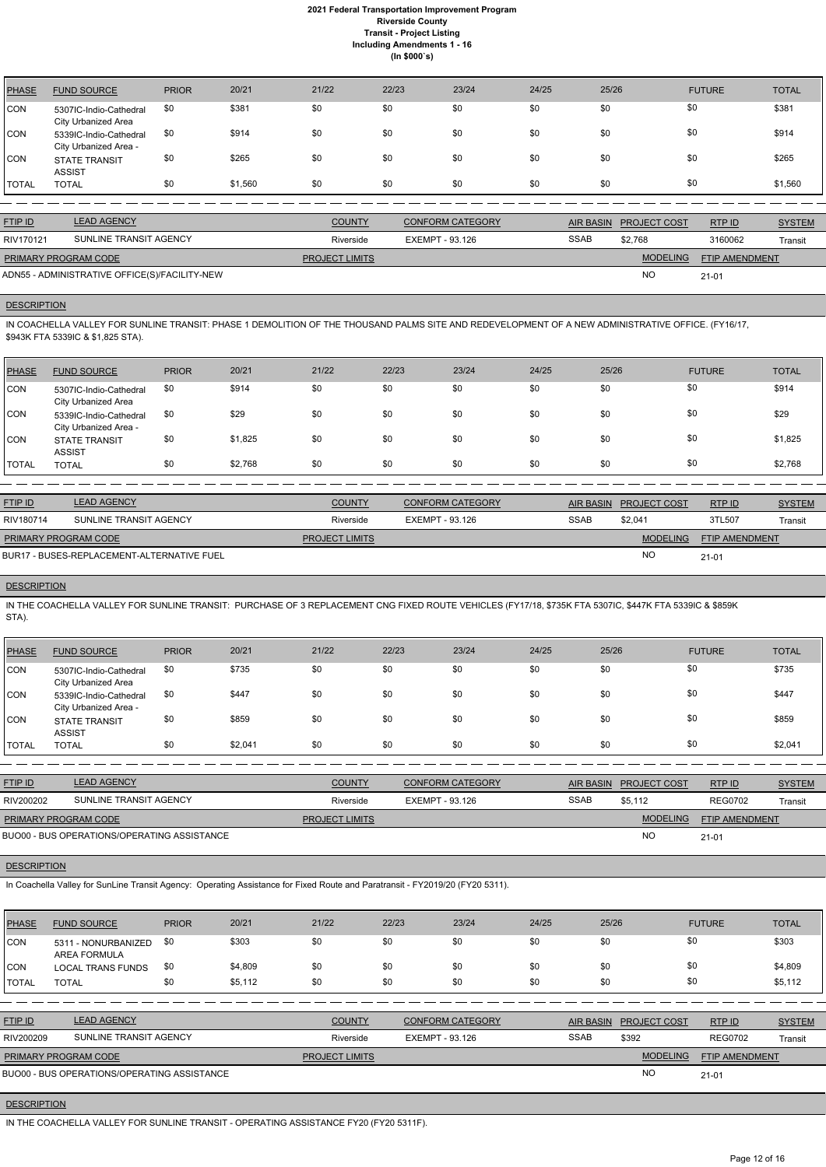| <b>PHASE</b> | <b>FUND SOURCE</b>                              | <b>PRIOR</b> | 20/21   | 21/22 | 22/23 | 23/24 | 24/25 | 25/26 | <b>FUTURE</b> | <b>TOTAL</b> |
|--------------|-------------------------------------------------|--------------|---------|-------|-------|-------|-------|-------|---------------|--------------|
| <b>CON</b>   | 5307IC-Indio-Cathedral<br>City Urbanized Area   | \$0          | \$381   | \$0   | \$0   | \$0   | \$0   | \$0   | \$0           | \$381        |
| CON          | 5339IC-Indio-Cathedral<br>City Urbanized Area - | \$0          | \$914   | \$0   | \$0   | \$0   | \$0   | \$0   | \$0           | \$914        |
| CON          | <b>STATE TRANSIT</b><br><b>ASSIST</b>           | \$0          | \$265   | \$0   | \$0   | \$0   | \$0   | \$0   | \$0           | \$265        |
| <b>TOTAL</b> | <b>TOTAL</b>                                    | \$0          | \$1,560 | \$0   | \$0   | \$0   | \$0   | \$0   | \$0           | \$1,560      |

| <b>FTIP ID</b>              | <b>LEAD AGENCY</b>                            | <b>COUNTY</b>         | <b>CONFORM CATEGORY</b> |             | AIR BASIN PROJECT COST | RTPID                 | <b>SYSTEM</b> |
|-----------------------------|-----------------------------------------------|-----------------------|-------------------------|-------------|------------------------|-----------------------|---------------|
| RIV170121                   | SUNLINE TRANSIT AGENCY                        | Riverside             | EXEMPT - 93.126         | <b>SSAB</b> | \$2.768                | 3160062               | Transit       |
| <b>PRIMARY PROGRAM CODE</b> |                                               | <b>PROJECT LIMITS</b> |                         |             | <b>MODELING</b>        | <b>FTIP AMENDMENT</b> |               |
|                             | ADN55 - ADMINISTRATIVE OFFICE(S)/FACILITY-NEW |                       |                         |             | <b>NC</b>              | $21 - 01$             |               |

# **DESCRIPTION**

IN COACHELLA VALLEY FOR SUNLINE TRANSIT: PHASE 1 DEMOLITION OF THE THOUSAND PALMS SITE AND REDEVELOPMENT OF A NEW ADMINISTRATIVE OFFICE. (FY16/17, \$943K FTA 5339IC & \$1,825 STA).

| <b>PHASE</b> | <b>FUND SOURCE</b>                              | <b>PRIOR</b> | 20/21   | 21/22 | 22/23 | 23/24 | 24/25 | 25/26 | <b>FUTURE</b> | <b>TOTAL</b> |
|--------------|-------------------------------------------------|--------------|---------|-------|-------|-------|-------|-------|---------------|--------------|
| <b>CON</b>   | 5307IC-Indio-Cathedral<br>City Urbanized Area   | \$0          | \$914   | \$0   | \$0   | \$0   | \$0   | \$0   | \$0           | \$914        |
| <b>CON</b>   | 5339IC-Indio-Cathedral<br>City Urbanized Area - | \$0          | \$29    | \$0   | \$0   | \$0   | \$0   | \$0   | \$0           | \$29         |
| <b>CON</b>   | <b>STATE TRANSIT</b><br><b>ASSIST</b>           | \$0          | \$1,825 | \$0   | \$0   | \$0   | \$0   | \$0   | \$0           | \$1,825      |
| <b>TOTAL</b> | <b>TOTAL</b>                                    | \$0          | \$2,768 | \$0   | \$0   | \$0   | \$0   | \$0   | \$0           | \$2,768      |

| <b>FTIP ID</b>       | <b>LEAD AGENCY</b>                         | <b>COUNTY</b>         | <b>CONFORM CATEGORY</b> | AIR BASIN   | <b>PROJECT COST</b> | RTPID                 | <b>SYSTEM</b> |
|----------------------|--------------------------------------------|-----------------------|-------------------------|-------------|---------------------|-----------------------|---------------|
| RIV180714            | SUNLINE TRANSIT AGENCY                     | Riverside             | EXEMPT - 93.126         | <b>SSAB</b> | \$2.041             | 3TL507                | Transit       |
| PRIMARY PROGRAM CODE |                                            | <b>PROJECT LIMITS</b> |                         |             | <b>MODELING</b>     | <b>FTIP AMENDMENT</b> |               |
|                      | BUR17 - BUSES-REPLACEMENT-ALTERNATIVE FUEL |                       |                         |             | <b>NO</b>           | $21 - 01$             |               |

# **DESCRIPTION**

IN THE COACHELLA VALLEY FOR SUNLINE TRANSIT: PURCHASE OF 3 REPLACEMENT CNG FIXED ROUTE VEHICLES (FY17/18, \$735K FTA 5307IC, \$447K FTA 5339IC & \$859K STA).

| PHASE        | <b>FUND SOURCE</b>                              | <b>PRIOR</b> | 20/21   | 21/22 | 22/23 | 23/24 | 24/25 | 25/26 | <b>FUTURE</b> | <b>TOTAL</b> |
|--------------|-------------------------------------------------|--------------|---------|-------|-------|-------|-------|-------|---------------|--------------|
| CON          | 5307IC-Indio-Cathedral<br>City Urbanized Area   | \$0          | \$735   | \$0   | \$0   | \$0   | \$0   | \$0   | \$0           | \$735        |
| CON          | 5339IC-Indio-Cathedral<br>City Urbanized Area - | \$0          | \$447   | \$0   | \$0   | \$0   | \$0   | \$0   | \$0           | \$447        |
| ICON.        | <b>STATE TRANSIT</b><br><b>ASSIST</b>           | \$0          | \$859   | \$0   | \$0   | \$0   | \$0   | \$0   | \$0           | \$859        |
| <b>TOTAL</b> | <b>TOTAL</b>                                    | \$0          | \$2,041 | \$0   | \$0   | \$0   | \$0   | \$0   | \$0           | \$2,041      |

| <b>FTIP ID</b>                              | <b>LEAD AGENCY</b>     | <b>COUNTY</b>         | <b>CONFORM CATEGORY</b> | AIR BASIN   | <b>PROJECT COST</b> | RTP ID                | <b>SYSTEM</b> |
|---------------------------------------------|------------------------|-----------------------|-------------------------|-------------|---------------------|-----------------------|---------------|
| RIV200202                                   | SUNLINE TRANSIT AGENCY | Riverside             | EXEMPT - 93.126         | <b>SSAB</b> | \$5.112             | <b>REG0702</b>        | Transit       |
| <b>PRIMARY PROGRAM CODE</b>                 |                        | <b>PROJECT LIMITS</b> |                         |             | <b>MODELING</b>     | <b>FTIP AMENDMENT</b> |               |
| BUO00 - BUS OPERATIONS/OPERATING ASSISTANCE |                        |                       |                         |             | <b>NC</b>           | $21 - 01$             |               |

# **DESCRIPTION**

| PHASE        | <b>FUND SOURCE</b>                          | <b>PRIOR</b> | 20/21   | 21/22                 | 22/23           | 23/24                   | 24/25       | 25/26            |                     | <b>FUTURE</b>         | <b>TOTAL</b>  |
|--------------|---------------------------------------------|--------------|---------|-----------------------|-----------------|-------------------------|-------------|------------------|---------------------|-----------------------|---------------|
| <b>ICON</b>  | 5311 - NONURBANIZED<br>AREA FORMULA         | \$0          | \$303   | \$0                   | \$0             | \$0                     | \$0         | \$0              | \$0                 |                       | \$303         |
| ICON         | <b>LOCAL TRANS FUNDS</b>                    | \$0          | \$4,809 | \$0                   | \$0             | \$0                     | \$0         | \$0              | \$0                 |                       | \$4,809       |
| <b>TOTAL</b> | <b>TOTAL</b>                                | \$0          | \$5,112 | \$0                   | \$0             | \$0                     | \$0         | \$0              | \$0                 |                       | \$5,112       |
|              |                                             |              |         |                       |                 |                         |             |                  |                     |                       |               |
| FTIP ID      | <b>LEAD AGENCY</b>                          |              |         | <b>COUNTY</b>         |                 | <b>CONFORM CATEGORY</b> |             | <b>AIR BASIN</b> | <b>PROJECT COST</b> | RTP ID                | <b>SYSTEM</b> |
| RIV200209    | SUNLINE TRANSIT AGENCY                      |              |         | Riverside             | EXEMPT - 93.126 |                         | <b>SSAB</b> |                  | \$392               | <b>REG0702</b>        | Transit       |
|              | PRIMARY PROGRAM CODE                        |              |         | <b>PROJECT LIMITS</b> |                 |                         |             |                  | <b>MODELING</b>     | <b>FTIP AMENDMENT</b> |               |
|              | BUO00 - BUS OPERATIONS/OPERATING ASSISTANCE |              |         |                       |                 |                         |             |                  | <b>NO</b>           | $21 - 01$             |               |

### **DESCRIPTION**

IN THE COACHELLA VALLEY FOR SUNLINE TRANSIT - OPERATING ASSISTANCE FY20 (FY20 5311F).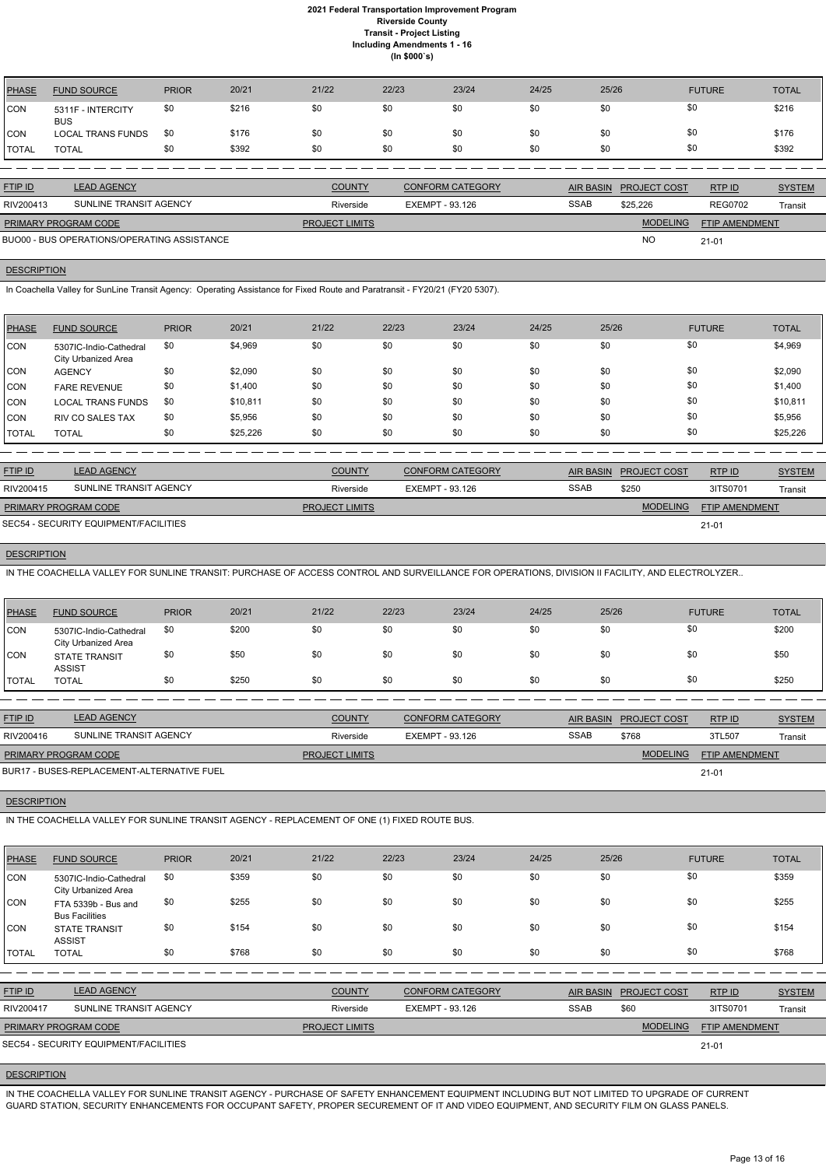| PHASE        | <b>FUND SOURCE</b>              | <b>PRIOR</b> | 20/21 | 21/22 | 22/23 | 23/24 | 24/25 | 25/26 | <b>FUTURE</b> | <b>TOTAL</b> |
|--------------|---------------------------------|--------------|-------|-------|-------|-------|-------|-------|---------------|--------------|
| CON          | 5311F - INTERCITY<br><b>BUS</b> | \$0          | \$216 | \$0   | \$0   | \$0   | \$0   | \$0   | \$0           | \$216        |
| CON          | <b>LOCAL TRANS FUNDS</b>        | -\$0         | \$176 | \$0   | \$0   | \$0   | \$0   | \$0   | \$0           | \$176        |
| <b>TOTAL</b> | <b>TOTAL</b>                    | \$0          | \$392 | \$0   | \$0   | \$0   | \$0   | \$0   | \$0           | \$392        |

| <b>FTIP ID</b>              | <b>LEAD AGENCY</b>                          | <b>COUNTY</b>         | <b>CONFORM CATEGORY</b> |             | AIR BASIN PROJECT COST | RTPID                 | <b>SYSTEM</b> |
|-----------------------------|---------------------------------------------|-----------------------|-------------------------|-------------|------------------------|-----------------------|---------------|
| RIV200413                   | SUNLINE TRANSIT AGENCY                      | Riverside             | EXEMPT - 93.126         | <b>SSAB</b> | \$25,226               | <b>REG0702</b>        | Transit       |
| <b>PRIMARY PROGRAM CODE</b> |                                             | <b>PROJECT LIMITS</b> |                         |             | <b>MODELING</b>        | <b>FTIP AMENDMENT</b> |               |
|                             | BUO00 - BUS OPERATIONS/OPERATING ASSISTANCE |                       |                         |             | <b>NO</b>              | $21 - 01$             |               |

#### **DESCRIPTION**

In Coachella Valley for SunLine Transit Agency: Operating Assistance for Fixed Route and Paratransit - FY20/21 (FY20 5307).

| PHASE        | <b>FUND SOURCE</b>                            | <b>PRIOR</b> | 20/21    | 21/22 | 22/23 | 23/24 | 24/25 | 25/26 | <b>FUTURE</b> | <b>TOTAL</b> |
|--------------|-----------------------------------------------|--------------|----------|-------|-------|-------|-------|-------|---------------|--------------|
| <b>CON</b>   | 5307IC-Indio-Cathedral<br>City Urbanized Area | \$0          | \$4,969  | \$0   | \$0   | \$0   | \$0   | \$0   | \$0           | \$4,969      |
| <b>CON</b>   | <b>AGENCY</b>                                 | \$0          | \$2,090  | \$0   | \$0   | \$0   | \$0   | \$0   | \$0           | \$2,090      |
| <b>CON</b>   | <b>FARE REVENUE</b>                           | \$0          | \$1,400  | \$0   | \$0   | \$0   | \$0   | \$0   | \$0           | \$1,400      |
| <b>CON</b>   | <b>LOCAL TRANS FUNDS</b>                      | \$0          | \$10,811 | \$0   | \$0   | \$0   | \$0   | \$0   | \$0           | \$10,811     |
| <b>CON</b>   | <b>RIV CO SALES TAX</b>                       | \$0          | \$5,956  | \$0   | \$0   | \$0   | \$0   | \$0   | \$0           | \$5,956      |
| <b>TOTAL</b> | <b>TOTAL</b>                                  | \$0          | \$25,226 | \$0   | \$0   | \$0   | \$0   | \$0   | \$0           | \$25,226     |

| <b>FTIP ID</b>       | <b>LEAD AGENCY</b>                    | <b>COUNTY</b>         | <b>CONFORM CATEGORY</b> | AIR BASIN   | <b>PROJECT COST</b> | RTP ID                | <b>SYSTEM</b> |
|----------------------|---------------------------------------|-----------------------|-------------------------|-------------|---------------------|-----------------------|---------------|
| RIV200415            | SUNLINE TRANSIT AGENCY                | Riverside             | EXEMPT - 93.126         | <b>SSAB</b> | \$250               | 3ITS0701              | Transit       |
| PRIMARY PROGRAM CODE |                                       | <b>PROJECT LIMITS</b> |                         |             | <b>MODELING</b>     | <b>FTIP AMENDMENT</b> |               |
|                      | SEC54 - SECURITY EQUIPMENT/FACILITIES |                       |                         |             |                     | $21 - 01$             |               |

# **DESCRIPTION**

IN THE COACHELLA VALLEY FOR SUNLINE TRANSIT: PURCHASE OF ACCESS CONTROL AND SURVEILLANCE FOR OPERATIONS, DIVISION II FACILITY, AND ELECTROLYZER..

| <b>PHASE</b> | <b>FUND SOURCE</b>                                   | <b>PRIOR</b> | 20/21 | 21/22 | 22/23 | 23/24 | 24/25 | 25/26 | <b>FUTURE</b> | <b>TOTAL</b> |
|--------------|------------------------------------------------------|--------------|-------|-------|-------|-------|-------|-------|---------------|--------------|
| CON          | 5307IC-Indio-Cathedral<br><b>City Urbanized Area</b> | \$0          | \$200 | \$0   | \$0   | \$0   | \$0   | \$0   | \$0           | \$200        |
| CON          | <b>STATE TRANSIT</b><br><b>ASSIST</b>                | \$0          | \$50  | \$0   | \$0   | \$0   | \$0   | \$0   | \$0           | \$50         |
| <b>TOTAL</b> | <b>TOTAL</b>                                         | \$0          | \$250 | \$0   | \$0   | \$0   | \$0   | \$0   | \$0           | \$250        |

| <b>FTIP ID</b>              | <b>LEAD AGENCY</b>                         | <b>COUNTY</b>         | <b>CONFORM CATEGORY</b> | AIR BASIN   | <b>PROJECT COST</b> | RTPID                 | <b>SYSTEM</b> |
|-----------------------------|--------------------------------------------|-----------------------|-------------------------|-------------|---------------------|-----------------------|---------------|
| RIV200416                   | SUNLINE TRANSIT AGENCY                     | Riverside             | EXEMPT - 93.126         | <b>SSAB</b> | \$768               | 3TL507                | Transit       |
| <b>PRIMARY PROGRAM CODE</b> |                                            | <b>PROJECT LIMITS</b> |                         |             | <b>MODELING</b>     | <b>FTIP AMENDMENT</b> |               |
|                             | BUR17 - BUSES-REPLACEMENT-ALTERNATIVE FUEL |                       |                         |             |                     | $21 - 01$             |               |

#### **DESCRIPTION**

IN THE COACHELLA VALLEY FOR SUNLINE TRANSIT AGENCY - REPLACEMENT OF ONE (1) FIXED ROUTE BUS.

| <b>PHASE</b>   | <b>FUND SOURCE</b>                            | <b>PRIOR</b> | 20/21 | 21/22                 | 22/23           | 23/24                   | 24/25       | 25/26            |                     | <b>FUTURE</b>  | <b>TOTAL</b>  |
|----------------|-----------------------------------------------|--------------|-------|-----------------------|-----------------|-------------------------|-------------|------------------|---------------------|----------------|---------------|
| <b>CON</b>     | 5307IC-Indio-Cathedral<br>City Urbanized Area | \$0          | \$359 | \$0                   | \$0             | \$0                     | \$0         | \$0              | \$0                 |                | \$359         |
| <b>CON</b>     | FTA 5339b - Bus and<br><b>Bus Facilities</b>  | \$0          | \$255 | \$0                   | \$0             | \$0                     | \$0         | \$0              | \$0                 |                | \$255         |
| <b>CON</b>     | <b>STATE TRANSIT</b><br><b>ASSIST</b>         | \$0          | \$154 | \$0                   | \$0             | \$0                     | \$0         | \$0              | \$0                 |                | \$154         |
| <b>TOTAL</b>   | <b>TOTAL</b>                                  | \$0          | \$768 | \$0                   | \$0             | \$0                     | \$0         | \$0              | \$0                 |                | \$768         |
|                |                                               |              |       |                       |                 |                         |             |                  |                     |                |               |
| <b>FTIP ID</b> | <b>LEAD AGENCY</b>                            |              |       | <b>COUNTY</b>         |                 | <b>CONFORM CATEGORY</b> |             | <b>AIR BASIN</b> | <b>PROJECT COST</b> | RTP ID         | <b>SYSTEM</b> |
| RIV200417      | SUNLINE TRANSIT AGENCY                        |              |       | Riverside             | EXEMPT - 93.126 |                         | <b>SSAB</b> |                  | \$60                | 3ITS0701       | Transit       |
|                | PRIMARY PROGRAM CODE                          |              |       | <b>PROJECT LIMITS</b> |                 |                         |             |                  | <b>MODELING</b>     | FTIP AMENDMENT |               |
|                | SEC54 - SECURITY EQUIPMENT/FACILITIES         |              |       |                       |                 |                         |             |                  |                     | $21 - 01$      |               |

### **DESCRIPTION**

IN THE COACHELLA VALLEY FOR SUNLINE TRANSIT AGENCY - PURCHASE OF SAFETY ENHANCEMENT EQUIPMENT INCLUDING BUT NOT LIMITED TO UPGRADE OF CURRENT GUARD STATION, SECURITY ENHANCEMENTS FOR OCCUPANT SAFETY, PROPER SECUREMENT OF IT AND VIDEO EQUIPMENT, AND SECURITY FILM ON GLASS PANELS.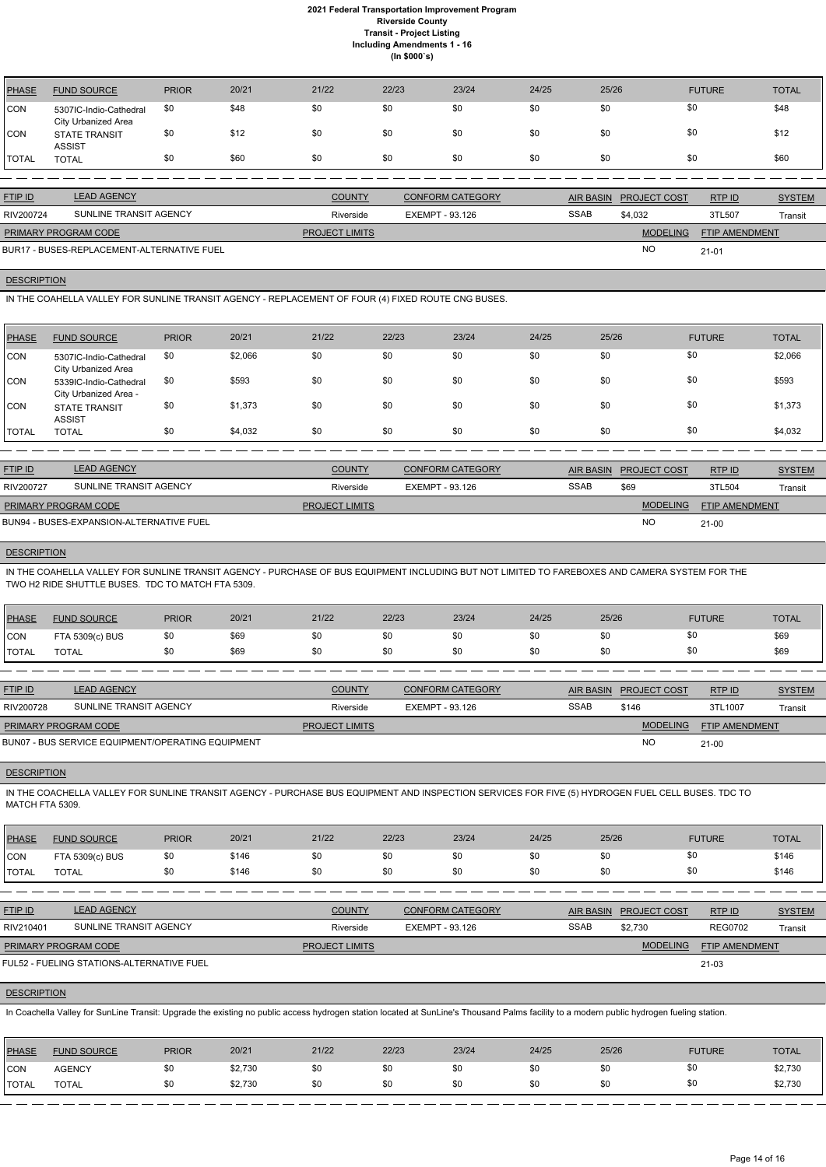| <b>PHASE</b> | <b>FUND SOURCE</b>                            | <b>PRIOR</b> | 20/21 | 21/22 | 22/23 | 23/24 | 24/25 | 25/26 | <b>FUTURE</b> | <b>TOTAL</b> |
|--------------|-----------------------------------------------|--------------|-------|-------|-------|-------|-------|-------|---------------|--------------|
| <b>CON</b>   | 5307IC-Indio-Cathedral<br>City Urbanized Area | \$0          | \$48  | \$0   | \$0   | \$0   | \$0   | \$0   | \$0           | \$48         |
| <b>CON</b>   | <b>STATE TRANSIT</b><br><b>ASSIST</b>         | \$0          | \$12  | \$0   | \$0   | \$0   | \$0   | \$0   | \$0           | \$12         |
| <b>TOTAL</b> | <b>TOTAL</b>                                  | \$0          | \$60  | \$0   | \$0   | \$0   | \$0   | \$0   | \$0           | \$60         |

| <b>FTIP ID</b>              | <b>LEAD AGENCY</b>                         | <b>COUNTY</b>         | CONFORM CATEGORY |             | AIR BASIN PROJECT COST | RTP ID                | <b>SYSTEM</b> |
|-----------------------------|--------------------------------------------|-----------------------|------------------|-------------|------------------------|-----------------------|---------------|
| RIV200724                   | SUNLINE TRANSIT AGENCY                     | Riverside             | EXEMPT - 93.126  | <b>SSAB</b> | \$4.032                | 3TL507                | Transit       |
| <b>PRIMARY PROGRAM CODE</b> |                                            | <b>PROJECT LIMITS</b> |                  |             | <b>MODELING</b>        | <b>FTIP AMENDMENT</b> |               |
|                             | BUR17 - BUSES-REPLACEMENT-ALTERNATIVE FUEL |                       |                  |             | <b>NC</b>              | $21 - 01$             |               |

### **DESCRIPTION**

IN THE COAHELLA VALLEY FOR SUNLINE TRANSIT AGENCY - REPLACEMENT OF FOUR (4) FIXED ROUTE CNG BUSES.

| PHASE        | <b>FUND SOURCE</b>                              | <b>PRIOR</b> | 20/21   | 21/22 | 22/23 | 23/24 | 24/25 | 25/26 | <b>FUTURE</b> | <b>TOTAL</b> |
|--------------|-------------------------------------------------|--------------|---------|-------|-------|-------|-------|-------|---------------|--------------|
| <b>CON</b>   | 5307IC-Indio-Cathedral<br>City Urbanized Area   | \$0          | \$2,066 | \$0   | \$0   | \$0   | \$0   | \$0   | \$0           | \$2,066      |
| <b>CON</b>   | 5339IC-Indio-Cathedral<br>City Urbanized Area - | \$0          | \$593   | \$0   | \$0   | \$0   | \$0   | \$0   | \$0           | \$593        |
| <b>CON</b>   | <b>STATE TRANSIT</b><br><b>ASSIST</b>           | \$0          | \$1,373 | \$0   | \$0   | \$0   | \$0   | \$0   | \$0           | \$1,373      |
| <b>TOTAL</b> | <b>TOTAL</b>                                    | \$0          | \$4,032 | \$0   | \$0   | \$0   | \$0   | \$0   | \$0           | \$4,032      |

| <b>FTIP ID</b>              | <b>LEAD AGENCY</b>                       | <b>COUNTY</b>         | <b>CONFORM CATEGORY</b> | AIR BASIN   | <b>PROJECT COST</b> | RTPID                 | <b>SYSTEM</b> |
|-----------------------------|------------------------------------------|-----------------------|-------------------------|-------------|---------------------|-----------------------|---------------|
| RIV200727                   | SUNLINE TRANSIT AGENCY                   | Riverside             | EXEMPT - 93.126         | <b>SSAB</b> | \$69                | 3TL504                | Transit       |
| <b>PRIMARY PROGRAM CODE</b> |                                          | <b>PROJECT LIMITS</b> |                         |             | <b>MODELING</b>     | <b>FTIP AMENDMENT</b> |               |
|                             | BUN94 - BUSES-EXPANSION-ALTERNATIVE FUEL |                       |                         |             | NO                  | $21 - 00$             |               |

#### **DESCRIPTION**

IN THE COAHELLA VALLEY FOR SUNLINE TRANSIT AGENCY - PURCHASE OF BUS EQUIPMENT INCLUDING BUT NOT LIMITED TO FAREBOXES AND CAMERA SYSTEM FOR THE TWO H2 RIDE SHUTTLE BUSES. TDC TO MATCH FTA 5309.

| PHASE        | <b>FUND SOURCE</b> | <b>PRIOR</b> | 20/21 | 21/22 | 22/23 | 23/24 | 24/25 | 25/26 | <b>FUTURE</b> | TOTAL |
|--------------|--------------------|--------------|-------|-------|-------|-------|-------|-------|---------------|-------|
| <b>CON</b>   | FTA 5309(c) BUS    | \$0          | \$69  | \$0   | \$0   | \$0   |       |       | wu            | \$69  |
| <b>TOTAL</b> | <b>TOTAL</b>       | \$0          | \$69  | \$0   | \$0   | \$0   |       |       | ¢∩<br>υ٧      | \$69  |

| <b>FTIP ID</b>              | <b>LEAD AGENCY</b>                                | <b>COUNTY</b>         | CONFORM CATEGORY |             | AIR BASIN PROJECT COST | RTP ID                | <b>SYSTEM</b> |
|-----------------------------|---------------------------------------------------|-----------------------|------------------|-------------|------------------------|-----------------------|---------------|
| RIV200728                   | SUNLINE TRANSIT AGENCY                            | Riverside             | EXEMPT - 93.126  | <b>SSAB</b> | \$146                  | 3TL1007               | Transit       |
| <b>PRIMARY PROGRAM CODE</b> |                                                   | <b>PROJECT LIMITS</b> |                  |             | <b>MODELING</b>        | <b>FTIP AMENDMENT</b> |               |
|                             | BUN07 - BUS SERVICE EQUIPMENT/OPERATING EQUIPMENT |                       |                  |             | NO                     | $21 - 00$             |               |

#### **DESCRIPTION**

IN THE COACHELLA VALLEY FOR SUNLINE TRANSIT AGENCY - PURCHASE BUS EQUIPMENT AND INSPECTION SERVICES FOR FIVE (5) HYDROGEN FUEL CELL BUSES. TDC TO MATCH FTA 5309.

| PHASE        | <b>FUND SOURCE</b> | <b>PRIOR</b> | 20/21 | 21/22 | 22/23 | 23/24 | 24/25 | 25/26 | <b>FUTURE</b> | <b>TOTAL</b> |
|--------------|--------------------|--------------|-------|-------|-------|-------|-------|-------|---------------|--------------|
| <b>CON</b>   | FTA 5309(c) BUS    | \$0          | \$146 | \$0   | \$0   |       | \$0   | \$0   | \$0           | \$146        |
| <b>TOTAL</b> | <b>TOTAL</b>       | \$0          | \$146 | ა∪    | \$0   |       | \$0   | \$0   | \$0           | \$146        |

| <b>FTIP ID</b>              | <b>LEAD AGENCY</b>                        | <b>COUNTY</b>         | CONFORM CATEGORY | <b>AIR BASIN</b> | <b>PROJECT COST</b> | RTPID                 | <b>SYSTEM</b> |
|-----------------------------|-------------------------------------------|-----------------------|------------------|------------------|---------------------|-----------------------|---------------|
| RIV210401                   | SUNLINE TRANSIT AGENCY                    | Riverside             | EXEMPT - 93.126  | <b>SSAB</b>      | \$2.730             | <b>REG0702</b>        | Transit       |
| <b>PRIMARY PROGRAM CODE</b> |                                           | <b>PROJECT LIMITS</b> |                  |                  | <b>MODELING</b>     | <b>FTIP AMENDMENT</b> |               |
|                             | FUL52 - FUELING STATIONS-ALTERNATIVE FUEL |                       |                  |                  |                     | 21-03                 |               |

#### **DESCRIPTION**

In Coachella Valley for SunLine Transit: Upgrade the existing no public access hydrogen station located at SunLine's Thousand Palms facility to a modern public hydrogen fueling station.

| <b>PHASE</b> | <b>FUND SOURCE</b> | <b>PRIOR</b> | 20/21   | 21/22 | 22/23 | 23/24 | 24/25 | 25/26 | <b>FUTURE</b> | TOTAL   |
|--------------|--------------------|--------------|---------|-------|-------|-------|-------|-------|---------------|---------|
| <b>CON</b>   | <b>AGENCY</b>      | \$0          | \$2,730 | \$0   | \$0   |       |       |       | \$0           | \$2,730 |
| <b>TOTAL</b> | <b>TOTAL</b>       | \$0          | \$2,730 |       | \$0   |       | \$0   |       | \$0           | \$2,730 |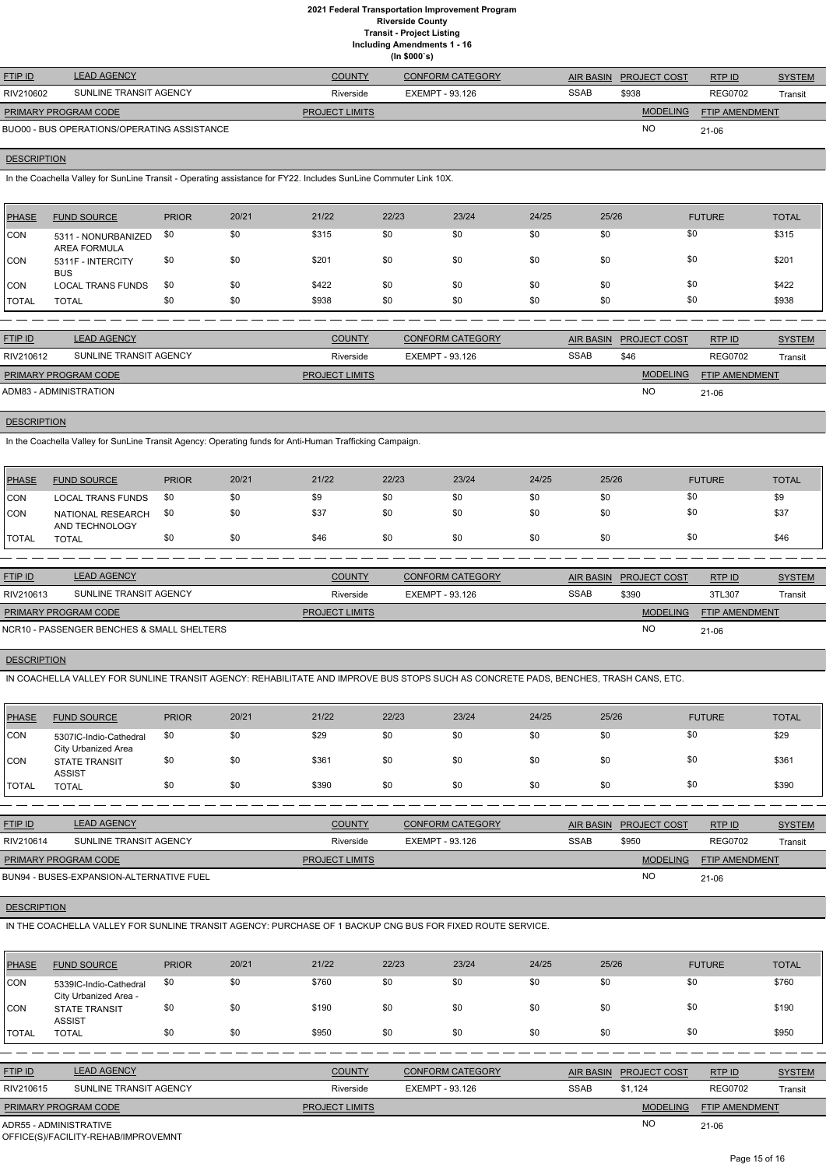**Including Amendments 1 - 16**

|  | www.g conviruitone |
|--|--------------------|
|  | (ln \$000's)       |

| <b>FTIP ID</b>              | <b>LEAD AGENCY</b>                          | <b>COUNTY</b>         | CONFORM CATEGORY |             | AIR BASIN PROJECT COST | RTPID          | <b>SYSTEM</b> |
|-----------------------------|---------------------------------------------|-----------------------|------------------|-------------|------------------------|----------------|---------------|
| RIV210602                   | SUNLINE TRANSIT AGENCY                      | Riverside             | EXEMPT - 93.126  | <b>SSAB</b> | \$938                  | <b>REG0702</b> | Transit       |
| <b>PRIMARY PROGRAM CODE</b> |                                             | <b>PROJECT LIMITS</b> |                  |             | <b>MODELING</b>        | FTIP AMENDMENT |               |
|                             | BUO00 - BUS OPERATIONS/OPERATING ASSISTANCE |                       |                  |             | <b>NC</b>              | 21-06          |               |

# **DESCRIPTION**

In the Coachella Valley for SunLine Transit - Operating assistance for FY22. Includes SunLine Commuter Link 10X.

| PHASE        | <b>FUND SOURCE</b>                         | <b>PRIOR</b> | 20/21 | 21/22 | 22/23 | 23/24 | 24/25 | 25/26 | <b>FUTURE</b> | <b>TOTAL</b> |
|--------------|--------------------------------------------|--------------|-------|-------|-------|-------|-------|-------|---------------|--------------|
| CON          | 5311 - NONURBANIZED<br><b>AREA FORMULA</b> | \$0          | \$0   | \$315 | \$0   | \$0   | \$0   | \$0   | \$0           | \$315        |
| <b>CON</b>   | 5311F - INTERCITY<br><b>BUS</b>            | \$0          | \$0   | \$201 | \$0   | \$0   | \$0   | \$0   | \$0           | \$201        |
| CON          | <b>LOCAL TRANS FUNDS</b>                   | \$0          | \$0   | \$422 | \$0   | \$0   | \$0   | \$0   | \$0           | \$422        |
| <b>TOTAL</b> | <b>TOTAL</b>                               | \$0          | \$0   | \$938 | \$0   | \$0   | \$0   | \$0   | \$0           | \$938        |

| <b>LEAD AGENCY</b>     | <b>COUNTY</b>                                  | <b>CONFORM CATEGORY</b> | <b>AIR BASIN</b> |                 | RTP ID              | <b>SYSTEM</b>         |
|------------------------|------------------------------------------------|-------------------------|------------------|-----------------|---------------------|-----------------------|
| SUNLINE TRANSIT AGENCY | Riverside                                      | EXEMPT - 93.126         | <b>SSAB</b>      | \$46            | <b>REG0702</b>      | Transit               |
|                        | <b>PROJECT LIMITS</b>                          |                         |                  | <b>MODELING</b> |                     |                       |
|                        |                                                |                         |                  | <b>NO</b>       | 21-06               |                       |
|                        | PRIMARY PROGRAM CODE<br>ADM83 - ADMINISTRATION |                         |                  |                 | <b>PROJECT COST</b> | <b>FTIP AMENDMENT</b> |

### **DESCRIPTION**

In the Coachella Valley for SunLine Transit Agency: Operating funds for Anti-Human Trafficking Campaign.

| PHASE        | <b>FUND SOURCE</b>                  | <b>PRIOR</b> | 20/21 | 21/22 | 22/23 | 23/24 | 24/25 | 25/26 | <b>FUTURE</b> | <b>TOTAL</b> |
|--------------|-------------------------------------|--------------|-------|-------|-------|-------|-------|-------|---------------|--------------|
| CON          | <b>LOCAL TRANS FUNDS</b>            | -\$0         |       | \$9   | \$0   | \$0   | \$0   | \$0   | \$0           | \$9          |
| <b>CON</b>   | NATIONAL RESEARCH<br>AND TECHNOLOGY | \$0          |       | \$37  | \$0   | \$0   | \$0   | \$0   | \$0           | \$37         |
| <b>TOTAL</b> | <b>TOTAL</b>                        |              | \$0   | \$46  | \$0   | \$0   | \$0   | \$0   |               | \$46         |

| <b>FTIP ID</b>              | <b>LEAD AGENCY</b>                         | <b>COUNTY</b>         | <b>CONFORM CATEGORY</b> |             | AIR BASIN PROJECT COST | RTPID                 | <b>SYSTEM</b> |
|-----------------------------|--------------------------------------------|-----------------------|-------------------------|-------------|------------------------|-----------------------|---------------|
| RIV210613                   | SUNLINE TRANSIT AGENCY                     | Riverside             | EXEMPT - 93.126         | <b>SSAB</b> | \$390                  | 3TL307                | Transit       |
| <b>PRIMARY PROGRAM CODE</b> |                                            | <b>PROJECT LIMITS</b> |                         |             | <b>MODELING</b>        | <b>FTIP AMENDMENT</b> |               |
|                             | NCR10 - PASSENGER BENCHES & SMALL SHELTERS |                       |                         |             | <b>NO</b>              | 21-06                 |               |

# **DESCRIPTION**

IN COACHELLA VALLEY FOR SUNLINE TRANSIT AGENCY: REHABILITATE AND IMPROVE BUS STOPS SUCH AS CONCRETE PADS, BENCHES, TRASH CANS, ETC.

| PHASE      | <b>FUND SOURCE</b>                            | <b>PRIOR</b> | 20/21 | 21/22 | 22/23 | 23/24 | 24/25 | 25/26 | <b>FUTURE</b> | <b>TOTAL</b> |
|------------|-----------------------------------------------|--------------|-------|-------|-------|-------|-------|-------|---------------|--------------|
| <b>CON</b> | 5307IC-Indio-Cathedral<br>City Urbanized Area | \$0          | \$0   | \$29  | \$0   | \$0   | \$0   | \$0   | \$0           | \$29         |
| <b>CON</b> | <b>STATE TRANSIT</b><br><b>ASSIST</b>         | \$0          | \$0   | \$361 | \$0   | \$0   | \$0   | \$0   | \$0           | \$361        |
| I TOTAL    | <b>TOTAL</b>                                  | \$0          | \$0   | \$390 | \$0   | \$0   | \$0   | \$0   | \$0           | \$390        |

| <b>FTIP ID</b>              | <b>LEAD AGENCY</b>                       | <b>COUNTY</b>         | <b>CONFORM CATEGORY</b> |             | AIR BASIN PROJECT COST | RTPID                 | <b>SYSTEM</b> |
|-----------------------------|------------------------------------------|-----------------------|-------------------------|-------------|------------------------|-----------------------|---------------|
| RIV210614                   | SUNLINE TRANSIT AGENCY                   | Riverside             | EXEMPT - 93.126         | <b>SSAB</b> | \$950                  | <b>REG0702</b>        | Transit       |
| <b>PRIMARY PROGRAM CODE</b> |                                          | <b>PROJECT LIMITS</b> |                         |             | <b>MODELING</b>        | <b>FTIP AMENDMENT</b> |               |
|                             | BUN94 - BUSES-EXPANSION-ALTERNATIVE FUEL |                       |                         |             | <b>NO</b>              | 21-06                 |               |

# **DESCRIPTION**

#### IN THE COACHELLA VALLEY FOR SUNLINE TRANSIT AGENCY: PURCHASE OF 1 BACKUP CNG BUS FOR FIXED ROUTE SERVICE.

| <b>PHASE</b>   | <b>FUND SOURCE</b>                                                                      | <b>PRIOR</b> | 20/21 | 21/22                 | 22/23                  | 23/24                   | 24/25 | 25/26            |                     | <b>FUTURE</b>         | <b>TOTAL</b>  |
|----------------|-----------------------------------------------------------------------------------------|--------------|-------|-----------------------|------------------------|-------------------------|-------|------------------|---------------------|-----------------------|---------------|
| <b>CON</b>     | 5339IC-Indio-Cathedral<br>City Urbanized Area -                                         | \$0          | \$0   | \$760                 | \$0                    | \$0                     | \$0   | \$0              |                     | \$0                   | \$760         |
| CON            | <b>STATE TRANSIT</b><br><b>ASSIST</b>                                                   | \$0          | \$0   | \$190                 | \$0                    | \$0                     | \$0   | \$0              |                     | \$0                   | \$190         |
| <b>TOTAL</b>   | <b>TOTAL</b>                                                                            | \$0          | \$0   | \$950                 | \$0                    | \$0                     | \$0   | \$0              |                     | \$0                   | \$950         |
|                |                                                                                         |              |       |                       |                        |                         |       |                  |                     |                       |               |
| <b>FTIP ID</b> | <b>LEAD AGENCY</b>                                                                      |              |       | <b>COUNTY</b>         |                        | <b>CONFORM CATEGORY</b> |       | <b>AIR BASIN</b> | <b>PROJECT COST</b> | RTP ID                | <b>SYSTEM</b> |
| RIV210615      | SUNLINE TRANSIT AGENCY                                                                  |              |       | Riverside             | <b>EXEMPT - 93.126</b> |                         |       | <b>SSAB</b>      | \$1,124             | <b>REG0702</b>        | Transit       |
|                | PRIMARY PROGRAM CODE                                                                    |              |       | <b>PROJECT LIMITS</b> |                        |                         |       |                  | <b>MODELING</b>     | <b>FTIP AMENDMENT</b> |               |
|                | <b>NO</b><br>ADR55 - ADMINISTRATIVE<br>$21 - 06$<br>OFFICE(S)/FACILITY-REHAB/IMPROVEMNT |              |       |                       |                        |                         |       |                  |                     |                       |               |